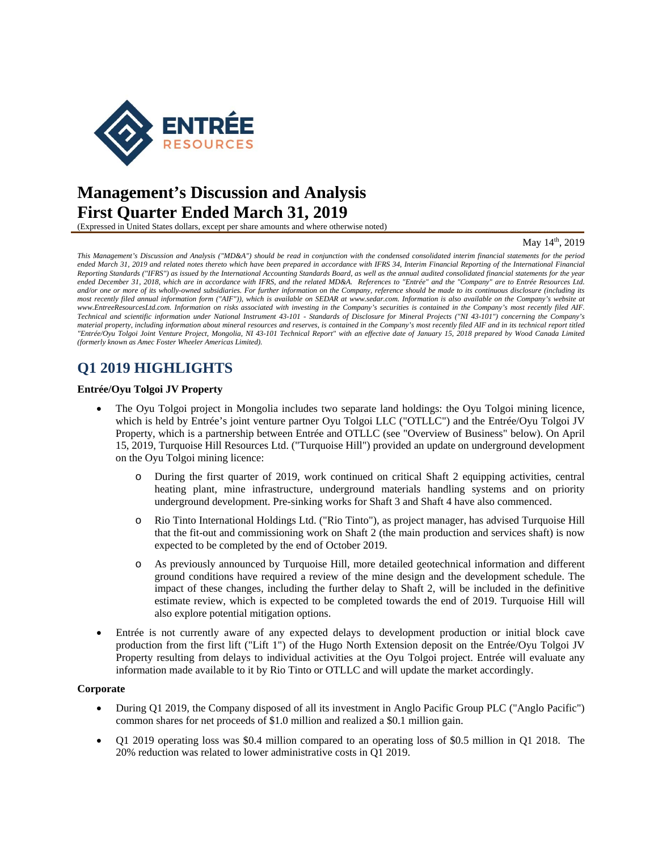

# **Management's Discussion and Analysis First Quarter Ended March 31, 2019**

(Expressed in United States dollars, except per share amounts and where otherwise noted)

#### May 14<sup>th</sup>, 2019

*This Management's Discussion and Analysis ("MD&A") should be read in conjunction with the condensed consolidated interim financial statements for the period ended March 31, 2019 and related notes thereto which have been prepared in accordance with IFRS 34, Interim Financial Reporting of the International Financial Reporting Standards ("IFRS") as issued by the International Accounting Standards Board, as well as the annual audited consolidated financial statements for the year ended December 31, 2018, which are in accordance with IFRS, and the related MD&A. References to "Entrée" and the "Company" are to Entrée Resources Ltd. and/or one or more of its wholly-owned subsidiaries. For further information on the Company, reference should be made to its continuous disclosure (including its*  most recently filed annual information form ("AIF")), which is available on SEDAR at www.sedar.com. Information is also available on the Company's website at *www.EntreeResourcesLtd.com. Information on risks associated with investing in the Company's securities is contained in the Company's most recently filed AIF. Technical and scientific information under National Instrument 43-101 - Standards of Disclosure for Mineral Projects ("NI 43-101") concerning the Company's material property, including information about mineral resources and reserves, is contained in the Company's most recently filed AIF and in its technical report titled "Entrée/Oyu Tolgoi Joint Venture Project, Mongolia, NI 43-101 Technical Report" with an effective date of January 15, 2018 prepared by Wood Canada Limited (formerly known as Amec Foster Wheeler Americas Limited).* 

## **Q1 2019 HIGHLIGHTS**

### **Entrée/Oyu Tolgoi JV Property**

- The Oyu Tolgoi project in Mongolia includes two separate land holdings: the Oyu Tolgoi mining licence, which is held by Entrée's joint venture partner Oyu Tolgoi LLC ("OTLLC") and the Entrée/Oyu Tolgoi JV Property, which is a partnership between Entrée and OTLLC (see "Overview of Business" below). On April 15, 2019, Turquoise Hill Resources Ltd. ("Turquoise Hill") provided an update on underground development on the Oyu Tolgoi mining licence:
	- o During the first quarter of 2019, work continued on critical Shaft 2 equipping activities, central heating plant, mine infrastructure, underground materials handling systems and on priority underground development. Pre-sinking works for Shaft 3 and Shaft 4 have also commenced.
	- o Rio Tinto International Holdings Ltd. ("Rio Tinto"), as project manager, has advised Turquoise Hill that the fit-out and commissioning work on Shaft 2 (the main production and services shaft) is now expected to be completed by the end of October 2019.
	- As previously announced by Turquoise Hill, more detailed geotechnical information and different ground conditions have required a review of the mine design and the development schedule. The impact of these changes, including the further delay to Shaft 2, will be included in the definitive estimate review, which is expected to be completed towards the end of 2019. Turquoise Hill will also explore potential mitigation options.
- Entrée is not currently aware of any expected delays to development production or initial block cave production from the first lift ("Lift 1") of the Hugo North Extension deposit on the Entrée/Oyu Tolgoi JV Property resulting from delays to individual activities at the Oyu Tolgoi project. Entrée will evaluate any information made available to it by Rio Tinto or OTLLC and will update the market accordingly.

#### **Corporate**

- During Q1 2019, the Company disposed of all its investment in Anglo Pacific Group PLC ("Anglo Pacific") common shares for net proceeds of \$1.0 million and realized a \$0.1 million gain.
- Q1 2019 operating loss was \$0.4 million compared to an operating loss of \$0.5 million in Q1 2018. The 20% reduction was related to lower administrative costs in Q1 2019.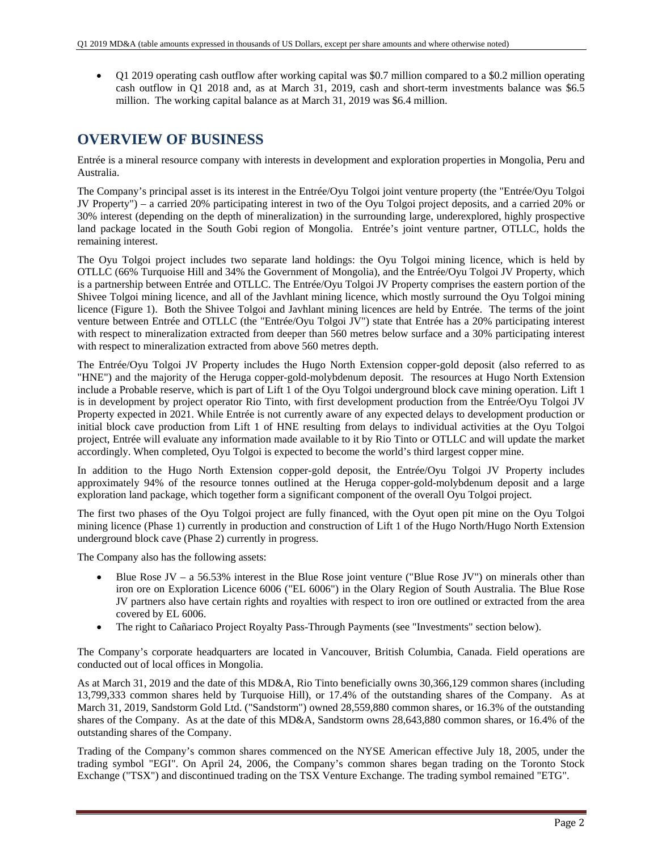Q1 2019 operating cash outflow after working capital was \$0.7 million compared to a \$0.2 million operating cash outflow in Q1 2018 and, as at March 31, 2019, cash and short-term investments balance was \$6.5 million. The working capital balance as at March 31, 2019 was \$6.4 million.

# **OVERVIEW OF BUSINESS**

Entrée is a mineral resource company with interests in development and exploration properties in Mongolia, Peru and Australia.

The Company's principal asset is its interest in the Entrée/Oyu Tolgoi joint venture property (the "Entrée/Oyu Tolgoi JV Property") – a carried 20% participating interest in two of the Oyu Tolgoi project deposits, and a carried 20% or 30% interest (depending on the depth of mineralization) in the surrounding large, underexplored, highly prospective land package located in the South Gobi region of Mongolia. Entrée's joint venture partner, OTLLC, holds the remaining interest.

The Oyu Tolgoi project includes two separate land holdings: the Oyu Tolgoi mining licence, which is held by OTLLC (66% Turquoise Hill and 34% the Government of Mongolia), and the Entrée/Oyu Tolgoi JV Property, which is a partnership between Entrée and OTLLC. The Entrée/Oyu Tolgoi JV Property comprises the eastern portion of the Shivee Tolgoi mining licence, and all of the Javhlant mining licence, which mostly surround the Oyu Tolgoi mining licence (Figure 1). Both the Shivee Tolgoi and Javhlant mining licences are held by Entrée. The terms of the joint venture between Entrée and OTLLC (the "Entrée/Oyu Tolgoi JV") state that Entrée has a 20% participating interest with respect to mineralization extracted from deeper than 560 metres below surface and a 30% participating interest with respect to mineralization extracted from above 560 metres depth.

The Entrée/Oyu Tolgoi JV Property includes the Hugo North Extension copper-gold deposit (also referred to as "HNE") and the majority of the Heruga copper-gold-molybdenum deposit. The resources at Hugo North Extension include a Probable reserve, which is part of Lift 1 of the Oyu Tolgoi underground block cave mining operation. Lift 1 is in development by project operator Rio Tinto, with first development production from the Entrée/Oyu Tolgoi JV Property expected in 2021. While Entrée is not currently aware of any expected delays to development production or initial block cave production from Lift 1 of HNE resulting from delays to individual activities at the Oyu Tolgoi project, Entrée will evaluate any information made available to it by Rio Tinto or OTLLC and will update the market accordingly. When completed, Oyu Tolgoi is expected to become the world's third largest copper mine.

In addition to the Hugo North Extension copper-gold deposit, the Entrée/Oyu Tolgoi JV Property includes approximately 94% of the resource tonnes outlined at the Heruga copper-gold-molybdenum deposit and a large exploration land package, which together form a significant component of the overall Oyu Tolgoi project.

The first two phases of the Oyu Tolgoi project are fully financed, with the Oyut open pit mine on the Oyu Tolgoi mining licence (Phase 1) currently in production and construction of Lift 1 of the Hugo North/Hugo North Extension underground block cave (Phase 2) currently in progress.

The Company also has the following assets:

- Blue Rose JV a 56.53% interest in the Blue Rose joint venture ("Blue Rose JV") on minerals other than iron ore on Exploration Licence 6006 ("EL 6006") in the Olary Region of South Australia. The Blue Rose JV partners also have certain rights and royalties with respect to iron ore outlined or extracted from the area covered by EL 6006.
- The right to Cañariaco Project Royalty Pass-Through Payments (see "Investments" section below).

The Company's corporate headquarters are located in Vancouver, British Columbia, Canada. Field operations are conducted out of local offices in Mongolia.

As at March 31, 2019 and the date of this MD&A, Rio Tinto beneficially owns 30,366,129 common shares (including 13,799,333 common shares held by Turquoise Hill), or 17.4% of the outstanding shares of the Company. As at March 31, 2019, Sandstorm Gold Ltd. ("Sandstorm") owned 28,559,880 common shares, or 16.3% of the outstanding shares of the Company. As at the date of this MD&A, Sandstorm owns 28,643,880 common shares, or 16.4% of the outstanding shares of the Company.

Trading of the Company's common shares commenced on the NYSE American effective July 18, 2005, under the trading symbol "EGI". On April 24, 2006, the Company's common shares began trading on the Toronto Stock Exchange ("TSX") and discontinued trading on the TSX Venture Exchange. The trading symbol remained "ETG".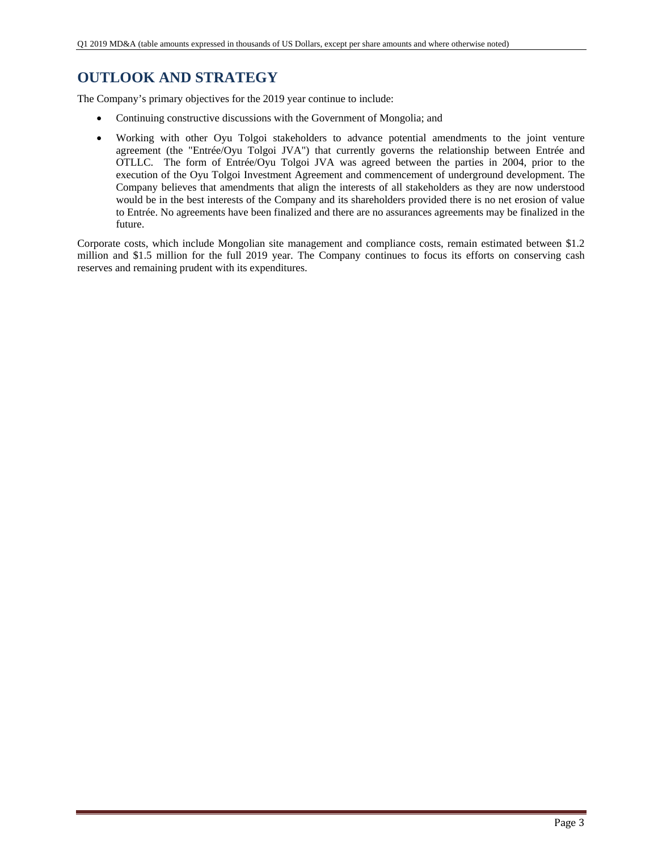# **OUTLOOK AND STRATEGY**

The Company's primary objectives for the 2019 year continue to include:

- Continuing constructive discussions with the Government of Mongolia; and
- Working with other Oyu Tolgoi stakeholders to advance potential amendments to the joint venture agreement (the "Entrée/Oyu Tolgoi JVA") that currently governs the relationship between Entrée and OTLLC. The form of Entrée/Oyu Tolgoi JVA was agreed between the parties in 2004, prior to the execution of the Oyu Tolgoi Investment Agreement and commencement of underground development. The Company believes that amendments that align the interests of all stakeholders as they are now understood would be in the best interests of the Company and its shareholders provided there is no net erosion of value to Entrée. No agreements have been finalized and there are no assurances agreements may be finalized in the future.

Corporate costs, which include Mongolian site management and compliance costs, remain estimated between \$1.2 million and \$1.5 million for the full 2019 year. The Company continues to focus its efforts on conserving cash reserves and remaining prudent with its expenditures.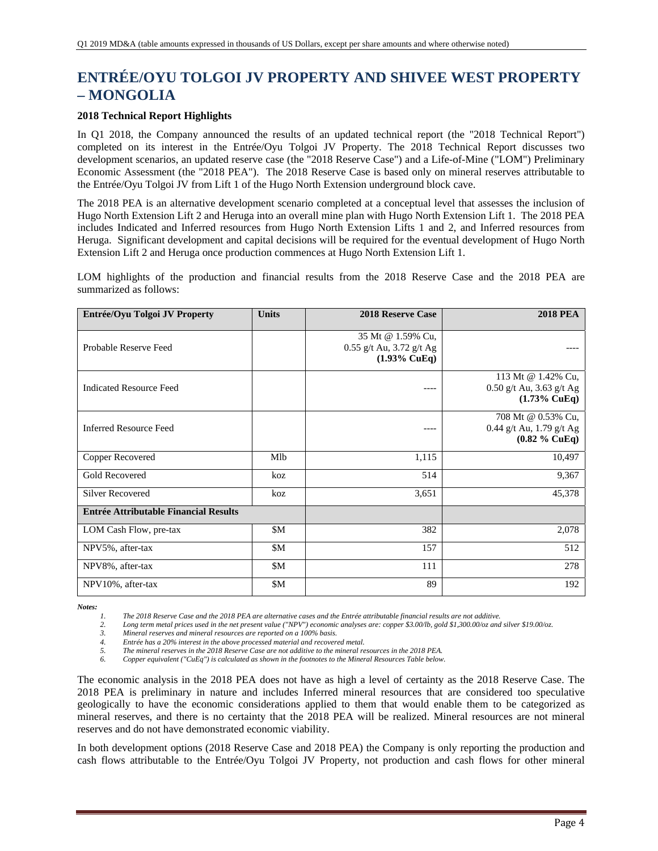# **ENTRÉE/OYU TOLGOI JV PROPERTY AND SHIVEE WEST PROPERTY – MONGOLIA**

## **2018 Technical Report Highlights**

In Q1 2018, the Company announced the results of an updated technical report (the "2018 Technical Report") completed on its interest in the Entrée/Oyu Tolgoi JV Property. The 2018 Technical Report discusses two development scenarios, an updated reserve case (the "2018 Reserve Case") and a Life-of-Mine ("LOM") Preliminary Economic Assessment (the "2018 PEA"). The 2018 Reserve Case is based only on mineral reserves attributable to the Entrée/Oyu Tolgoi JV from Lift 1 of the Hugo North Extension underground block cave.

The 2018 PEA is an alternative development scenario completed at a conceptual level that assesses the inclusion of Hugo North Extension Lift 2 and Heruga into an overall mine plan with Hugo North Extension Lift 1. The 2018 PEA includes Indicated and Inferred resources from Hugo North Extension Lifts 1 and 2, and Inferred resources from Heruga. Significant development and capital decisions will be required for the eventual development of Hugo North Extension Lift 2 and Heruga once production commences at Hugo North Extension Lift 1.

LOM highlights of the production and financial results from the 2018 Reserve Case and the 2018 PEA are summarized as follows:

| Entrée/Oyu Tolgoi JV Property                | <b>Units</b> | <b>2018 Reserve Case</b>                                                 | <b>2018 PEA</b>                                                             |
|----------------------------------------------|--------------|--------------------------------------------------------------------------|-----------------------------------------------------------------------------|
| Probable Reserve Feed                        |              | 35 Mt @ 1.59% Cu,<br>0.55 g/t Au, 3.72 g/t Ag<br>$(1.93\% \text{ CuEq})$ |                                                                             |
| <b>Indicated Resource Feed</b>               |              | ----                                                                     | 113 Mt @ 1.42% Cu,<br>$0.50$ g/t Au, 3.63 g/t Ag<br>$(1.73\% \text{ CuEq})$ |
| <b>Inferred Resource Feed</b>                |              | ----                                                                     | 708 Mt @ 0.53% Cu,<br>0.44 g/t Au, 1.79 g/t Ag<br>$(0.82 \%$ CuEq)          |
| Copper Recovered                             | Mlb          | 1,115                                                                    | 10,497                                                                      |
| <b>Gold Recovered</b>                        | koz          | 514                                                                      | 9,367                                                                       |
| <b>Silver Recovered</b>                      | koz          | 3,651                                                                    | 45,378                                                                      |
| <b>Entrée Attributable Financial Results</b> |              |                                                                          |                                                                             |
| LOM Cash Flow, pre-tax                       | \$M          | 382                                                                      | 2,078                                                                       |
| NPV5%, after-tax                             | \$M          | 157                                                                      | 512                                                                         |
| NPV8%, after-tax                             | \$M          | 111                                                                      | 278                                                                         |
| NPV10%, after-tax                            | \$M          | 89                                                                       | 192                                                                         |

*Notes:* 

*1. The 2018 Reserve Case and the 2018 PEA are alternative cases and the Entrée attributable financial results are not additive.* 

*2. Long term metal prices used in the net present value ("NPV") economic analyses are: copper \$3.00/lb, gold \$1,300.00/oz and silver \$19.00/oz.* 

*3. Mineral reserves and mineral resources are reported on a 100% basis.* 

*4. Entrée has a 20% interest in the above processed material and recovered metal.* 

*5. The mineral reserves in the 2018 Reserve Case are not additive to the mineral resources in the 2018 PEA. 6. Copper equivalent ("CuEq") is calculated as shown in the footnotes to the Mineral Resources Table below.* 

The economic analysis in the 2018 PEA does not have as high a level of certainty as the 2018 Reserve Case. The 2018 PEA is preliminary in nature and includes Inferred mineral resources that are considered too speculative geologically to have the economic considerations applied to them that would enable them to be categorized as mineral reserves, and there is no certainty that the 2018 PEA will be realized. Mineral resources are not mineral reserves and do not have demonstrated economic viability.

In both development options (2018 Reserve Case and 2018 PEA) the Company is only reporting the production and cash flows attributable to the Entrée/Oyu Tolgoi JV Property, not production and cash flows for other mineral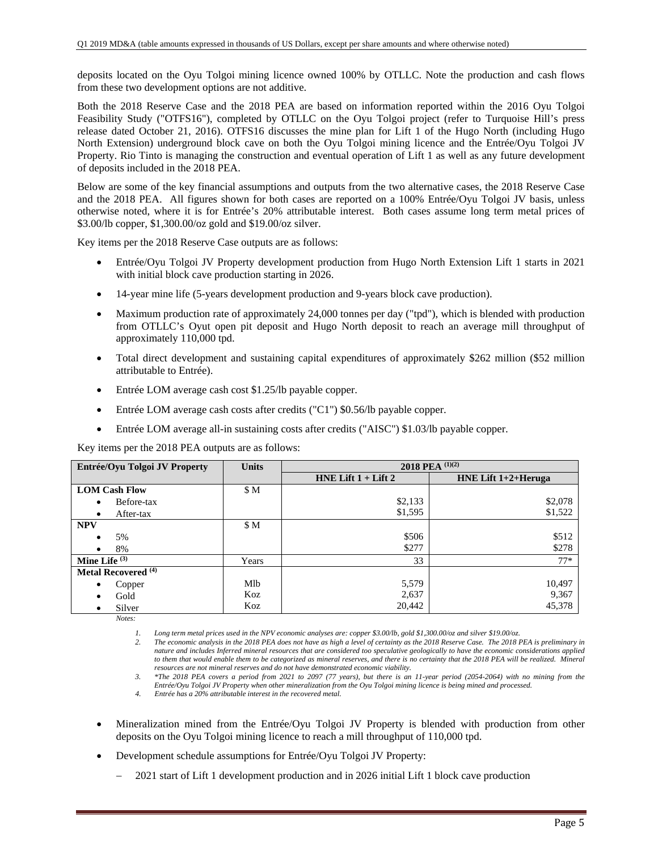deposits located on the Oyu Tolgoi mining licence owned 100% by OTLLC. Note the production and cash flows from these two development options are not additive.

Both the 2018 Reserve Case and the 2018 PEA are based on information reported within the 2016 Oyu Tolgoi Feasibility Study ("OTFS16"), completed by OTLLC on the Oyu Tolgoi project (refer to Turquoise Hill's press release dated October 21, 2016). OTFS16 discusses the mine plan for Lift 1 of the Hugo North (including Hugo North Extension) underground block cave on both the Oyu Tolgoi mining licence and the Entrée/Oyu Tolgoi JV Property. Rio Tinto is managing the construction and eventual operation of Lift 1 as well as any future development of deposits included in the 2018 PEA.

Below are some of the key financial assumptions and outputs from the two alternative cases, the 2018 Reserve Case and the 2018 PEA. All figures shown for both cases are reported on a 100% Entrée/Oyu Tolgoi JV basis, unless otherwise noted, where it is for Entrée's 20% attributable interest. Both cases assume long term metal prices of \$3.00/lb copper, \$1,300.00/oz gold and \$19.00/oz silver.

Key items per the 2018 Reserve Case outputs are as follows:

- Entrée/Oyu Tolgoi JV Property development production from Hugo North Extension Lift 1 starts in 2021 with initial block cave production starting in 2026.
- 14-year mine life (5-years development production and 9-years block cave production).
- Maximum production rate of approximately 24,000 tonnes per day ("tpd"), which is blended with production from OTLLC's Oyut open pit deposit and Hugo North deposit to reach an average mill throughput of approximately 110,000 tpd.
- Total direct development and sustaining capital expenditures of approximately \$262 million (\$52 million attributable to Entrée).
- Entrée LOM average cash cost \$1.25/lb payable copper.
- Entrée LOM average cash costs after credits ("C1") \$0.56/lb payable copper.
- Entrée LOM average all-in sustaining costs after credits ("AISC") \$1.03/lb payable copper.

Key items per the 2018 PEA outputs are as follows:

| Entrée/Oyu Tolgoi JV Property  | <b>Units</b> | 2018 PEA $(1)(2)$       |                     |  |  |  |  |
|--------------------------------|--------------|-------------------------|---------------------|--|--|--|--|
|                                |              | HNE Lift $1 +$ Lift $2$ | HNE Lift 1+2+Heruga |  |  |  |  |
| <b>LOM Cash Flow</b>           | \$M          |                         |                     |  |  |  |  |
| Before-tax<br>٠                |              | \$2,133                 | \$2,078             |  |  |  |  |
| After-tax<br>٠                 |              | \$1,595                 | \$1,522             |  |  |  |  |
| <b>NPV</b>                     | \$M          |                         |                     |  |  |  |  |
| 5%                             |              | \$506                   | \$512               |  |  |  |  |
| 8%                             |              | \$277                   | \$278               |  |  |  |  |
| Mine Life $(3)$                | Years        | 33                      | $77*$               |  |  |  |  |
| Metal Recovered <sup>(4)</sup> |              |                         |                     |  |  |  |  |
| Copper<br>٠                    | Mlb          | 5,579                   | 10,497              |  |  |  |  |
| Gold                           | Koz          | 2,637                   | 9,367               |  |  |  |  |
| Silver<br>٠                    | Koz          | 20,442                  | 45,378              |  |  |  |  |
| $Notes^{\cdot}$                |              |                         |                     |  |  |  |  |

*1. Long term metal prices used in the NPV economic analyses are: copper \$3.00/lb, gold \$1,300.00/oz and silver \$19.00/oz.* 

*2. The economic analysis in the 2018 PEA does not have as high a level of certainty as the 2018 Reserve Case. The 2018 PEA is preliminary in nature and includes Inferred mineral resources that are considered too speculative geologically to have the economic considerations applied*  to them that would enable them to be categorized as mineral reserves, and there is no certainty that the 2018 PEA will be realized. Mineral *resources are not mineral reserves and do not have demonstrated economic viability.* 

- Mineralization mined from the Entrée/Oyu Tolgoi JV Property is blended with production from other deposits on the Oyu Tolgoi mining licence to reach a mill throughput of 110,000 tpd.
- Development schedule assumptions for Entrée/Oyu Tolgoi JV Property:
	- 2021 start of Lift 1 development production and in 2026 initial Lift 1 block cave production

*<sup>3.</sup> \*The 2018 PEA covers a period from 2021 to 2097 (77 years), but there is an 11-year period (2054-2064) with no mining from the Entrée/Oyu Tolgoi JV Property when other mineralization from the Oyu Tolgoi mining licence is being mined and processed.* 

*<sup>4.</sup> Entrée has a 20% attributable interest in the recovered metal.*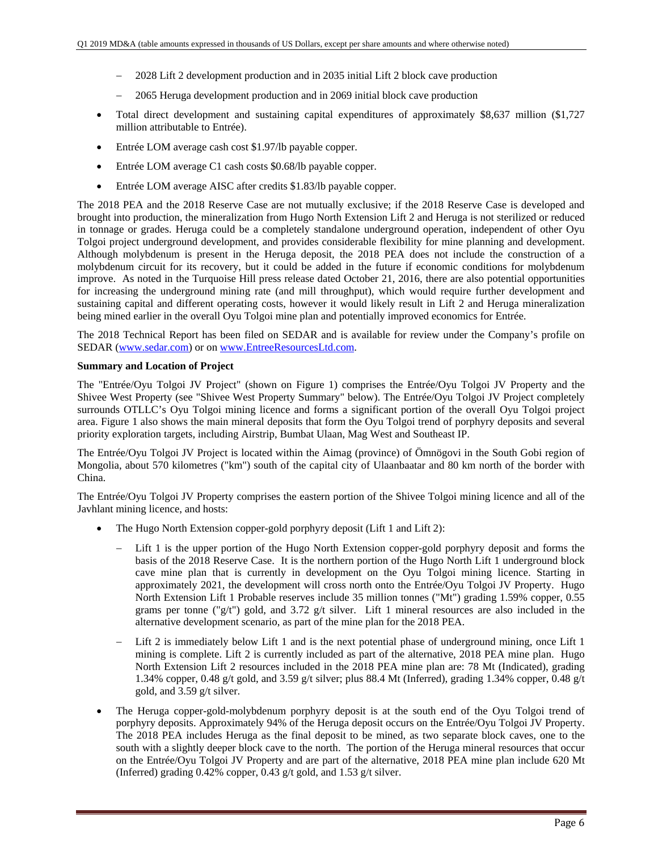- 2028 Lift 2 development production and in 2035 initial Lift 2 block cave production
- 2065 Heruga development production and in 2069 initial block cave production
- Total direct development and sustaining capital expenditures of approximately \$8,637 million (\$1,727 million attributable to Entrée).
- Entrée LOM average cash cost \$1.97/lb payable copper.
- Entrée LOM average C1 cash costs \$0.68/lb payable copper.
- Entrée LOM average AISC after credits \$1.83/lb payable copper.

The 2018 PEA and the 2018 Reserve Case are not mutually exclusive; if the 2018 Reserve Case is developed and brought into production, the mineralization from Hugo North Extension Lift 2 and Heruga is not sterilized or reduced in tonnage or grades. Heruga could be a completely standalone underground operation, independent of other Oyu Tolgoi project underground development, and provides considerable flexibility for mine planning and development. Although molybdenum is present in the Heruga deposit, the 2018 PEA does not include the construction of a molybdenum circuit for its recovery, but it could be added in the future if economic conditions for molybdenum improve. As noted in the Turquoise Hill press release dated October 21, 2016, there are also potential opportunities for increasing the underground mining rate (and mill throughput), which would require further development and sustaining capital and different operating costs, however it would likely result in Lift 2 and Heruga mineralization being mined earlier in the overall Oyu Tolgoi mine plan and potentially improved economics for Entrée.

The 2018 Technical Report has been filed on SEDAR and is available for review under the Company's profile on SEDAR (www.sedar.com) or on www.EntreeResourcesLtd.com.

### **Summary and Location of Project**

The "Entrée/Oyu Tolgoi JV Project" (shown on Figure 1) comprises the Entrée/Oyu Tolgoi JV Property and the Shivee West Property (see "Shivee West Property Summary" below). The Entrée/Oyu Tolgoi JV Project completely surrounds OTLLC's Oyu Tolgoi mining licence and forms a significant portion of the overall Oyu Tolgoi project area. Figure 1 also shows the main mineral deposits that form the Oyu Tolgoi trend of porphyry deposits and several priority exploration targets, including Airstrip, Bumbat Ulaan, Mag West and Southeast IP.

The Entrée/Oyu Tolgoi JV Project is located within the Aimag (province) of Ömnögovi in the South Gobi region of Mongolia, about 570 kilometres ("km") south of the capital city of Ulaanbaatar and 80 km north of the border with China.

The Entrée/Oyu Tolgoi JV Property comprises the eastern portion of the Shivee Tolgoi mining licence and all of the Javhlant mining licence, and hosts:

- The Hugo North Extension copper-gold porphyry deposit (Lift 1 and Lift 2):
	- Lift 1 is the upper portion of the Hugo North Extension copper-gold porphyry deposit and forms the basis of the 2018 Reserve Case. It is the northern portion of the Hugo North Lift 1 underground block cave mine plan that is currently in development on the Oyu Tolgoi mining licence. Starting in approximately 2021, the development will cross north onto the Entrée/Oyu Tolgoi JV Property. Hugo North Extension Lift 1 Probable reserves include 35 million tonnes ("Mt") grading 1.59% copper, 0.55 grams per tonne ("g/t") gold, and 3.72 g/t silver. Lift 1 mineral resources are also included in the alternative development scenario, as part of the mine plan for the 2018 PEA.
	- Lift 2 is immediately below Lift 1 and is the next potential phase of underground mining, once Lift 1 mining is complete. Lift 2 is currently included as part of the alternative, 2018 PEA mine plan. Hugo North Extension Lift 2 resources included in the 2018 PEA mine plan are: 78 Mt (Indicated), grading 1.34% copper, 0.48 g/t gold, and 3.59 g/t silver; plus 88.4 Mt (Inferred), grading 1.34% copper, 0.48 g/t gold, and 3.59 g/t silver.
- The Heruga copper-gold-molybdenum porphyry deposit is at the south end of the Oyu Tolgoi trend of porphyry deposits. Approximately 94% of the Heruga deposit occurs on the Entrée/Oyu Tolgoi JV Property. The 2018 PEA includes Heruga as the final deposit to be mined, as two separate block caves, one to the south with a slightly deeper block cave to the north. The portion of the Heruga mineral resources that occur on the Entrée/Oyu Tolgoi JV Property and are part of the alternative, 2018 PEA mine plan include 620 Mt (Inferred) grading 0.42% copper, 0.43 g/t gold, and 1.53 g/t silver.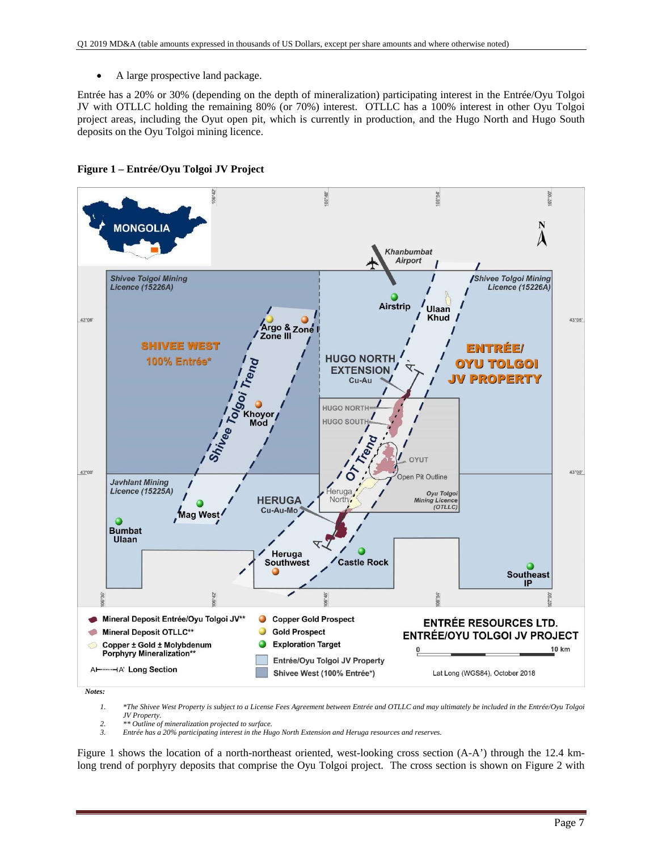A large prospective land package.

Entrée has a 20% or 30% (depending on the depth of mineralization) participating interest in the Entrée/Oyu Tolgoi JV with OTLLC holding the remaining 80% (or 70%) interest. OTLLC has a 100% interest in other Oyu Tolgoi project areas, including the Oyut open pit, which is currently in production, and the Hugo North and Hugo South deposits on the Oyu Tolgoi mining licence.



**Figure 1 – Entrée/Oyu Tolgoi JV Project** 

*1. \*The Shivee West Property is subject to a License Fees Agreement between Entrée and OTLLC and may ultimately be included in the Entrée/Oyu Tolgoi JV Property.* 

*2. \*\* Outline of mineralization projected to surface. 3. Entrée has a 20% participating interest in the Hugo North Extension and Heruga resources and reserves.* 

Figure 1 shows the location of a north-northeast oriented, west-looking cross section (A-A') through the 12.4 kmlong trend of porphyry deposits that comprise the Oyu Tolgoi project. The cross section is shown on Figure 2 with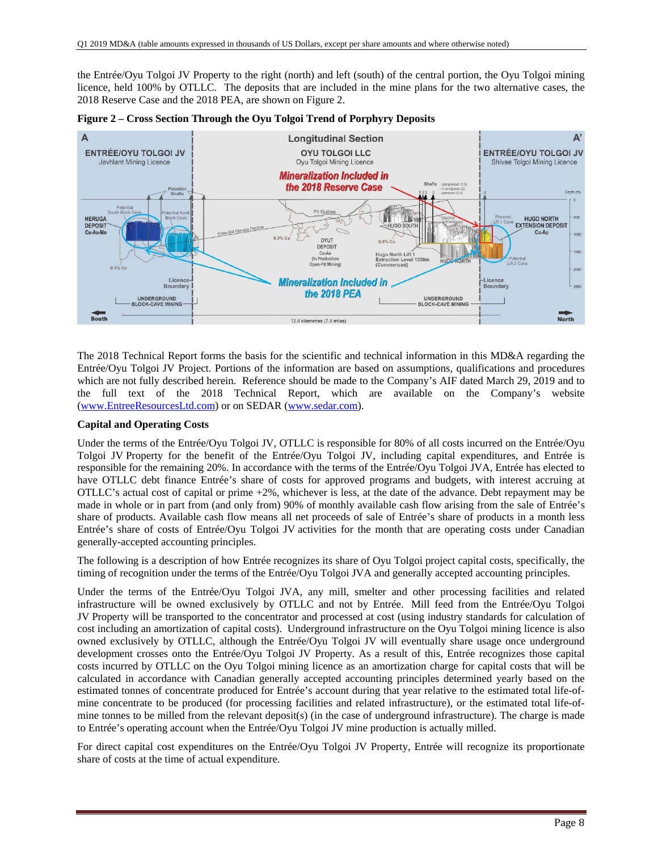the Entrée/Oyu Tolgoi JV Property to the right (north) and left (south) of the central portion, the Oyu Tolgoi mining licence, held 100% by OTLLC. The deposits that are included in the mine plans for the two alternative cases, the 2018 Reserve Case and the 2018 PEA, are shown on Figure 2.



**Figure 2 – Cross Section Through the Oyu Tolgoi Trend of Porphyry Deposits** 

The 2018 Technical Report forms the basis for the scientific and technical information in this MD&A regarding the Entrée/Oyu Tolgoi JV Project. Portions of the information are based on assumptions, qualifications and procedures which are not fully described herein. Reference should be made to the Company's AIF dated March 29, 2019 and to the full text of the 2018 Technical Report, which are available on the Company's website (www.EntreeResourcesLtd.com) or on SEDAR (www.sedar.com).

## **Capital and Operating Costs**

Under the terms of the Entrée/Oyu Tolgoi JV, OTLLC is responsible for 80% of all costs incurred on the Entrée/Oyu Tolgoi JV Property for the benefit of the Entrée/Oyu Tolgoi JV, including capital expenditures, and Entrée is responsible for the remaining 20%. In accordance with the terms of the Entrée/Oyu Tolgoi JVA, Entrée has elected to have OTLLC debt finance Entrée's share of costs for approved programs and budgets, with interest accruing at OTLLC's actual cost of capital or prime +2%, whichever is less, at the date of the advance. Debt repayment may be made in whole or in part from (and only from) 90% of monthly available cash flow arising from the sale of Entrée's share of products. Available cash flow means all net proceeds of sale of Entrée's share of products in a month less Entrée's share of costs of Entrée/Oyu Tolgoi JV activities for the month that are operating costs under Canadian generally-accepted accounting principles.

The following is a description of how Entrée recognizes its share of Oyu Tolgoi project capital costs, specifically, the timing of recognition under the terms of the Entrée/Oyu Tolgoi JVA and generally accepted accounting principles.

Under the terms of the Entrée/Oyu Tolgoi JVA, any mill, smelter and other processing facilities and related infrastructure will be owned exclusively by OTLLC and not by Entrée. Mill feed from the Entrée/Oyu Tolgoi JV Property will be transported to the concentrator and processed at cost (using industry standards for calculation of cost including an amortization of capital costs). Underground infrastructure on the Oyu Tolgoi mining licence is also owned exclusively by OTLLC, although the Entrée/Oyu Tolgoi JV will eventually share usage once underground development crosses onto the Entrée/Oyu Tolgoi JV Property. As a result of this, Entrée recognizes those capital costs incurred by OTLLC on the Oyu Tolgoi mining licence as an amortization charge for capital costs that will be calculated in accordance with Canadian generally accepted accounting principles determined yearly based on the estimated tonnes of concentrate produced for Entrée's account during that year relative to the estimated total life-ofmine concentrate to be produced (for processing facilities and related infrastructure), or the estimated total life-ofmine tonnes to be milled from the relevant deposit(s) (in the case of underground infrastructure). The charge is made to Entrée's operating account when the Entrée/Oyu Tolgoi JV mine production is actually milled.

For direct capital cost expenditures on the Entrée/Oyu Tolgoi JV Property, Entrée will recognize its proportionate share of costs at the time of actual expenditure.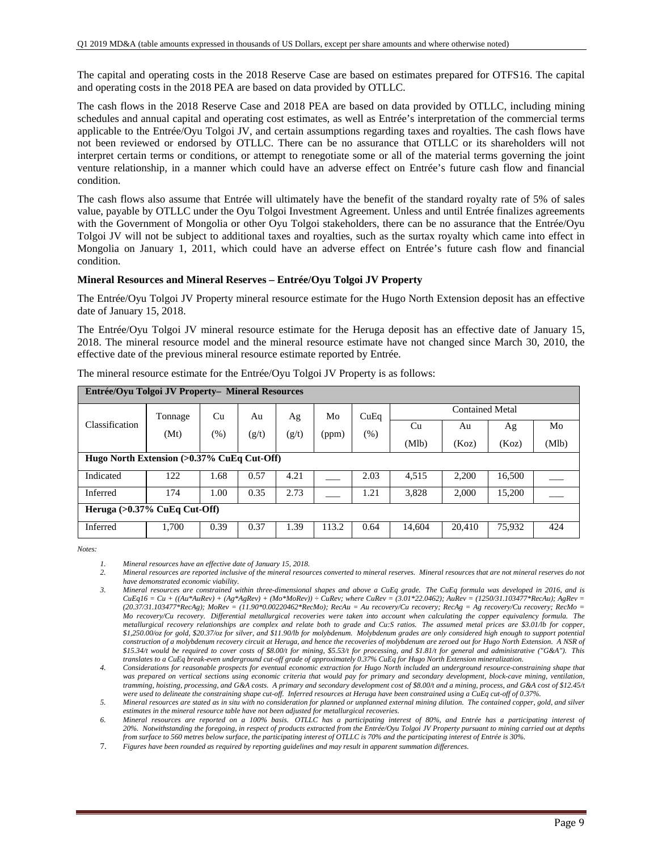The capital and operating costs in the 2018 Reserve Case are based on estimates prepared for OTFS16. The capital and operating costs in the 2018 PEA are based on data provided by OTLLC.

The cash flows in the 2018 Reserve Case and 2018 PEA are based on data provided by OTLLC, including mining schedules and annual capital and operating cost estimates, as well as Entrée's interpretation of the commercial terms applicable to the Entrée/Oyu Tolgoi JV, and certain assumptions regarding taxes and royalties. The cash flows have not been reviewed or endorsed by OTLLC. There can be no assurance that OTLLC or its shareholders will not interpret certain terms or conditions, or attempt to renegotiate some or all of the material terms governing the joint venture relationship, in a manner which could have an adverse effect on Entrée's future cash flow and financial condition.

The cash flows also assume that Entrée will ultimately have the benefit of the standard royalty rate of 5% of sales value, payable by OTLLC under the Oyu Tolgoi Investment Agreement. Unless and until Entrée finalizes agreements with the Government of Mongolia or other Oyu Tolgoi stakeholders, there can be no assurance that the Entrée/Oyu Tolgoi JV will not be subject to additional taxes and royalties, such as the surtax royalty which came into effect in Mongolia on January 1, 2011, which could have an adverse effect on Entrée's future cash flow and financial condition.

### **Mineral Resources and Mineral Reserves – Entrée/Oyu Tolgoi JV Property**

The Entrée/Oyu Tolgoi JV Property mineral resource estimate for the Hugo North Extension deposit has an effective date of January 15, 2018.

The Entrée/Oyu Tolgoi JV mineral resource estimate for the Heruga deposit has an effective date of January 15, 2018. The mineral resource model and the mineral resource estimate have not changed since March 30, 2010, the effective date of the previous mineral resource estimate reported by Entrée.

| Entrée/Oyu Tolgoi JV Property- Mineral Resources |                                 |        |       |       |       |      |        |                        |        |       |
|--------------------------------------------------|---------------------------------|--------|-------|-------|-------|------|--------|------------------------|--------|-------|
|                                                  | Tonnage                         | Cu     | Au    | Ag    | Mo    | CuEq |        | <b>Contained Metal</b> |        |       |
| Classification                                   | (Mt)                            | $(\%)$ | (g/t) | (g/t) | (ppm) | (%)  | Cu     | Au                     | Ag     | Mo    |
|                                                  |                                 |        |       |       |       |      | (Mlb)  | (Koz)                  | (Koz)  | (Mlb) |
| Hugo North Extension (>0.37% CuEq Cut-Off)       |                                 |        |       |       |       |      |        |                        |        |       |
| Indicated                                        | 122                             | 1.68   | 0.57  | 4.21  |       | 2.03 | 4,515  | 2,200                  | 16,500 |       |
| Inferred                                         | 174                             | 1.00   | 0.35  | 2.73  |       | 1.21 | 3,828  | 2.000                  | 15,200 |       |
|                                                  | Heruga $(>0.37\%$ CuEq Cut-Off) |        |       |       |       |      |        |                        |        |       |
| Inferred                                         | 1,700                           | 0.39   | 0.37  | 1.39  | 113.2 | 0.64 | 14.604 | 20,410                 | 75,932 | 424   |

The mineral resource estimate for the Entrée/Oyu Tolgoi JV Property is as follows:

*Notes:* 

*2. Mineral resources are reported inclusive of the mineral resources converted to mineral reserves. Mineral resources that are not mineral reserves do not have demonstrated economic viability.* 

*<sup>1.</sup> Mineral resources have an effective date of January 15, 2018.* 

*<sup>3.</sup> Mineral resources are constrained within three-dimensional shapes and above a CuEq grade. The CuEq formula was developed in 2016, and is CuEq16 = Cu + ((Au\*AuRev) + (Ag\*AgRev) + (Mo\*MoRev)) ÷ CuRev; where CuRev = (3.01\*22.0462); AuRev = (1250/31.103477\*RecAu); AgRev = (20.37/31.103477\*RecAg); MoRev = (11.90\*0.00220462\*RecMo); RecAu = Au recovery/Cu recovery; RecAg = Ag recovery/Cu recovery; RecMo = Mo recovery/Cu recovery. Differential metallurgical recoveries were taken into account when calculating the copper equivalency formula. The metallurgical recovery relationships are complex and relate both to grade and Cu:S ratios. The assumed metal prices are \$3.01/lb for copper, \$1,250.00/oz for gold, \$20.37/oz for silver, and \$11.90/lb for molybdenum. Molybdenum grades are only considered high enough to support potential construction of a molybdenum recovery circuit at Heruga, and hence the recoveries of molybdenum are zeroed out for Hugo North Extension. A NSR of \$15.34/t would be required to cover costs of \$8.00/t for mining, \$5.53/t for processing, and \$1.81/t for general and administrative ("G&A"). This translates to a CuEq break-even underground cut-off grade of approximately 0.37% CuEq for Hugo North Extension mineralization.* 

*<sup>4.</sup> Considerations for reasonable prospects for eventual economic extraction for Hugo North included an underground resource-constraining shape that was prepared on vertical sections using economic criteria that would pay for primary and secondary development, block-cave mining, ventilation, tramming, hoisting, processing, and G&A costs. A primary and secondary development cost of \$8.00/t and a mining, process, and G&A cost of \$12.45/t were used to delineate the constraining shape cut-off. Inferred resources at Heruga have been constrained using a CuEq cut-off of 0.37%.* 

*<sup>5.</sup> Mineral resources are stated as in situ with no consideration for planned or unplanned external mining dilution. The contained copper, gold, and silver estimates in the mineral resource table have not been adjusted for metallurgical recoveries.* 

*<sup>6.</sup> Mineral resources are reported on a 100% basis. OTLLC has a participating interest of 80%, and Entrée has a participating interest of 20%. Notwithstanding the foregoing, in respect of products extracted from the Entrée/Oyu Tolgoi JV Property pursuant to mining carried out at depths from surface to 560 metres below surface, the participating interest of OTLLC is 70% and the participating interest of Entrée is 30%.* 

<sup>7.</sup> *Figures have been rounded as required by reporting guidelines and may result in apparent summation differences.*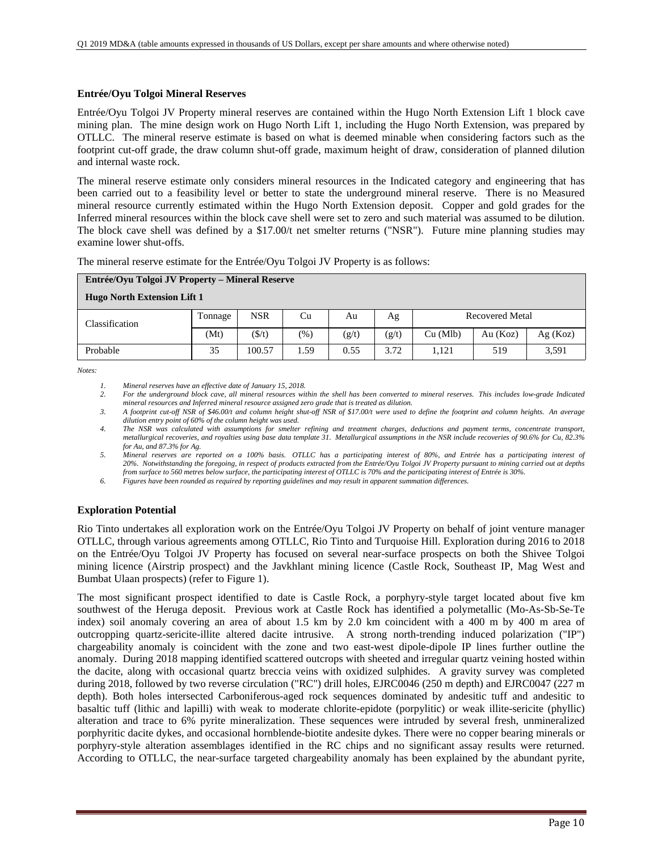### **Entrée/Oyu Tolgoi Mineral Reserves**

Entrée/Oyu Tolgoi JV Property mineral reserves are contained within the Hugo North Extension Lift 1 block cave mining plan. The mine design work on Hugo North Lift 1, including the Hugo North Extension, was prepared by OTLLC. The mineral reserve estimate is based on what is deemed minable when considering factors such as the footprint cut-off grade, the draw column shut-off grade, maximum height of draw, consideration of planned dilution and internal waste rock.

The mineral reserve estimate only considers mineral resources in the Indicated category and engineering that has been carried out to a feasibility level or better to state the underground mineral reserve. There is no Measured mineral resource currently estimated within the Hugo North Extension deposit. Copper and gold grades for the Inferred mineral resources within the block cave shell were set to zero and such material was assumed to be dilution. The block cave shell was defined by a \$17.00/t net smelter returns ("NSR"). Future mine planning studies may examine lower shut-offs.

The mineral reserve estimate for the Entrée/Oyu Tolgoi JV Property is as follows:

| Entrée/Oyu Tolgoi JV Property – Mineral Reserve |         |                 |      |       |       |          |                        |         |
|-------------------------------------------------|---------|-----------------|------|-------|-------|----------|------------------------|---------|
| <b>Hugo North Extension Lift 1</b>              |         |                 |      |       |       |          |                        |         |
| Classification                                  | Tonnage | <b>NSR</b>      | Cu   | Au    | Ag    |          | <b>Recovered Metal</b> |         |
|                                                 | (Mt)    | $(\frac{f}{f})$ | (% ) | (g/t) | (g/t) | Cu (Mlb) | Au (Koz)               | Ag(Koz) |
| Probable                                        | 35      | 100.57          | 1.59 | 0.55  | 3.72  | 1.121    | 519                    | 3.591   |

*Notes:* 

*1. Mineral reserves have an effective date of January 15, 2018.* 

*2. For the underground block cave, all mineral resources within the shell has been converted to mineral reserves. This includes low-grade Indicated mineral resources and Inferred mineral resource assigned zero grade that is treated as dilution.* 

*3. A footprint cut-off NSR of \$46.00/t and column height shut-off NSR of \$17.00/t were used to define the footprint and column heights. An average dilution entry point of 60% of the column height was used.* 

*4. The NSR was calculated with assumptions for smelter refining and treatment charges, deductions and payment terms, concentrate transport, metallurgical recoveries, and royalties using base data template 31. Metallurgical assumptions in the NSR include recoveries of 90.6% for Cu, 82.3% for Au, and 87.3% for Ag.* 

*5. Mineral reserves are reported on a 100% basis. OTLLC has a participating interest of 80%, and Entrée has a participating interest of 20%. Notwithstanding the foregoing, in respect of products extracted from the Entrée/Oyu Tolgoi JV Property pursuant to mining carried out at depths from surface to 560 metres below surface, the participating interest of OTLLC is 70% and the participating interest of Entrée is 30%.* 

*6. Figures have been rounded as required by reporting guidelines and may result in apparent summation differences.* 

## **Exploration Potential**

Rio Tinto undertakes all exploration work on the Entrée/Oyu Tolgoi JV Property on behalf of joint venture manager OTLLC, through various agreements among OTLLC, Rio Tinto and Turquoise Hill. Exploration during 2016 to 2018 on the Entrée/Oyu Tolgoi JV Property has focused on several near-surface prospects on both the Shivee Tolgoi mining licence (Airstrip prospect) and the Javkhlant mining licence (Castle Rock, Southeast IP, Mag West and Bumbat Ulaan prospects) (refer to Figure 1).

The most significant prospect identified to date is Castle Rock, a porphyry-style target located about five km southwest of the Heruga deposit. Previous work at Castle Rock has identified a polymetallic (Mo-As-Sb-Se-Te index) soil anomaly covering an area of about 1.5 km by 2.0 km coincident with a 400 m by 400 m area of outcropping quartz-sericite-illite altered dacite intrusive. A strong north-trending induced polarization ("IP") chargeability anomaly is coincident with the zone and two east-west dipole-dipole IP lines further outline the anomaly. During 2018 mapping identified scattered outcrops with sheeted and irregular quartz veining hosted within the dacite, along with occasional quartz breccia veins with oxidized sulphides. A gravity survey was completed during 2018, followed by two reverse circulation ("RC") drill holes, EJRC0046 (250 m depth) and EJRC0047 (227 m depth). Both holes intersected Carboniferous-aged rock sequences dominated by andesitic tuff and andesitic to basaltic tuff (lithic and lapilli) with weak to moderate chlorite-epidote (porpylitic) or weak illite-sericite (phyllic) alteration and trace to 6% pyrite mineralization. These sequences were intruded by several fresh, unmineralized porphyritic dacite dykes, and occasional hornblende-biotite andesite dykes. There were no copper bearing minerals or porphyry-style alteration assemblages identified in the RC chips and no significant assay results were returned. According to OTLLC, the near-surface targeted chargeability anomaly has been explained by the abundant pyrite,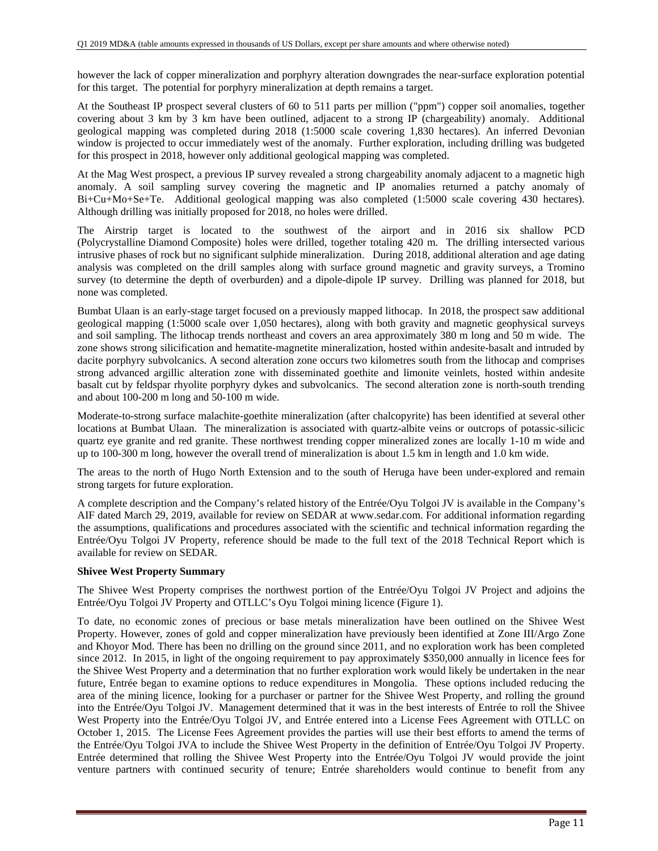however the lack of copper mineralization and porphyry alteration downgrades the near-surface exploration potential for this target. The potential for porphyry mineralization at depth remains a target.

At the Southeast IP prospect several clusters of 60 to 511 parts per million ("ppm") copper soil anomalies, together covering about 3 km by 3 km have been outlined, adjacent to a strong IP (chargeability) anomaly. Additional geological mapping was completed during 2018 (1:5000 scale covering 1,830 hectares). An inferred Devonian window is projected to occur immediately west of the anomaly. Further exploration, including drilling was budgeted for this prospect in 2018, however only additional geological mapping was completed.

At the Mag West prospect, a previous IP survey revealed a strong chargeability anomaly adjacent to a magnetic high anomaly. A soil sampling survey covering the magnetic and IP anomalies returned a patchy anomaly of Bi+Cu+Mo+Se+Te. Additional geological mapping was also completed (1:5000 scale covering 430 hectares). Although drilling was initially proposed for 2018, no holes were drilled.

The Airstrip target is located to the southwest of the airport and in 2016 six shallow PCD (Polycrystalline Diamond Composite) holes were drilled, together totaling 420 m. The drilling intersected various intrusive phases of rock but no significant sulphide mineralization. During 2018, additional alteration and age dating analysis was completed on the drill samples along with surface ground magnetic and gravity surveys, a Tromino survey (to determine the depth of overburden) and a dipole-dipole IP survey. Drilling was planned for 2018, but none was completed.

Bumbat Ulaan is an early-stage target focused on a previously mapped lithocap. In 2018, the prospect saw additional geological mapping (1:5000 scale over 1,050 hectares), along with both gravity and magnetic geophysical surveys and soil sampling. The lithocap trends northeast and covers an area approximately 380 m long and 50 m wide. The zone shows strong silicification and hematite-magnetite mineralization, hosted within andesite-basalt and intruded by dacite porphyry subvolcanics. A second alteration zone occurs two kilometres south from the lithocap and comprises strong advanced argillic alteration zone with disseminated goethite and limonite veinlets, hosted within andesite basalt cut by feldspar rhyolite porphyry dykes and subvolcanics. The second alteration zone is north-south trending and about 100-200 m long and 50-100 m wide.

Moderate-to-strong surface malachite-goethite mineralization (after chalcopyrite) has been identified at several other locations at Bumbat Ulaan. The mineralization is associated with quartz-albite veins or outcrops of potassic-silicic quartz eye granite and red granite. These northwest trending copper mineralized zones are locally 1-10 m wide and up to 100-300 m long, however the overall trend of mineralization is about 1.5 km in length and 1.0 km wide.

The areas to the north of Hugo North Extension and to the south of Heruga have been under-explored and remain strong targets for future exploration.

A complete description and the Company's related history of the Entrée/Oyu Tolgoi JV is available in the Company's AIF dated March 29, 2019, available for review on SEDAR at www.sedar.com. For additional information regarding the assumptions, qualifications and procedures associated with the scientific and technical information regarding the Entrée/Oyu Tolgoi JV Property, reference should be made to the full text of the 2018 Technical Report which is available for review on SEDAR.

## **Shivee West Property Summary**

The Shivee West Property comprises the northwest portion of the Entrée/Oyu Tolgoi JV Project and adjoins the Entrée/Oyu Tolgoi JV Property and OTLLC's Oyu Tolgoi mining licence (Figure 1).

To date, no economic zones of precious or base metals mineralization have been outlined on the Shivee West Property. However, zones of gold and copper mineralization have previously been identified at Zone III/Argo Zone and Khoyor Mod. There has been no drilling on the ground since 2011, and no exploration work has been completed since 2012. In 2015, in light of the ongoing requirement to pay approximately \$350,000 annually in licence fees for the Shivee West Property and a determination that no further exploration work would likely be undertaken in the near future, Entrée began to examine options to reduce expenditures in Mongolia. These options included reducing the area of the mining licence, looking for a purchaser or partner for the Shivee West Property, and rolling the ground into the Entrée/Oyu Tolgoi JV. Management determined that it was in the best interests of Entrée to roll the Shivee West Property into the Entrée/Oyu Tolgoi JV, and Entrée entered into a License Fees Agreement with OTLLC on October 1, 2015. The License Fees Agreement provides the parties will use their best efforts to amend the terms of the Entrée/Oyu Tolgoi JVA to include the Shivee West Property in the definition of Entrée/Oyu Tolgoi JV Property. Entrée determined that rolling the Shivee West Property into the Entrée/Oyu Tolgoi JV would provide the joint venture partners with continued security of tenure; Entrée shareholders would continue to benefit from any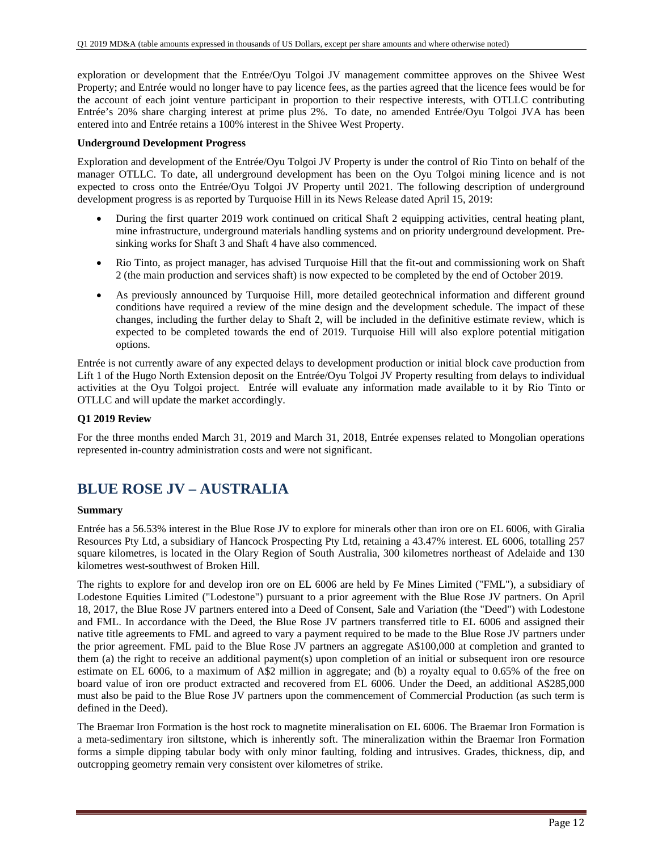exploration or development that the Entrée/Oyu Tolgoi JV management committee approves on the Shivee West Property; and Entrée would no longer have to pay licence fees, as the parties agreed that the licence fees would be for the account of each joint venture participant in proportion to their respective interests, with OTLLC contributing Entrée's 20% share charging interest at prime plus 2%. To date, no amended Entrée/Oyu Tolgoi JVA has been entered into and Entrée retains a 100% interest in the Shivee West Property.

### **Underground Development Progress**

Exploration and development of the Entrée/Oyu Tolgoi JV Property is under the control of Rio Tinto on behalf of the manager OTLLC. To date, all underground development has been on the Oyu Tolgoi mining licence and is not expected to cross onto the Entrée/Oyu Tolgoi JV Property until 2021. The following description of underground development progress is as reported by Turquoise Hill in its News Release dated April 15, 2019:

- During the first quarter 2019 work continued on critical Shaft 2 equipping activities, central heating plant, mine infrastructure, underground materials handling systems and on priority underground development. Presinking works for Shaft 3 and Shaft 4 have also commenced.
- Rio Tinto, as project manager, has advised Turquoise Hill that the fit-out and commissioning work on Shaft 2 (the main production and services shaft) is now expected to be completed by the end of October 2019.
- As previously announced by Turquoise Hill, more detailed geotechnical information and different ground conditions have required a review of the mine design and the development schedule. The impact of these changes, including the further delay to Shaft 2, will be included in the definitive estimate review, which is expected to be completed towards the end of 2019. Turquoise Hill will also explore potential mitigation options.

Entrée is not currently aware of any expected delays to development production or initial block cave production from Lift 1 of the Hugo North Extension deposit on the Entrée/Oyu Tolgoi JV Property resulting from delays to individual activities at the Oyu Tolgoi project. Entrée will evaluate any information made available to it by Rio Tinto or OTLLC and will update the market accordingly.

### **Q1 2019 Review**

For the three months ended March 31, 2019 and March 31, 2018, Entrée expenses related to Mongolian operations represented in-country administration costs and were not significant.

## **BLUE ROSE JV – AUSTRALIA**

#### **Summary**

Entrée has a 56.53% interest in the Blue Rose JV to explore for minerals other than iron ore on EL 6006, with Giralia Resources Pty Ltd, a subsidiary of Hancock Prospecting Pty Ltd, retaining a 43.47% interest. EL 6006, totalling 257 square kilometres, is located in the Olary Region of South Australia, 300 kilometres northeast of Adelaide and 130 kilometres west-southwest of Broken Hill.

The rights to explore for and develop iron ore on EL 6006 are held by Fe Mines Limited ("FML"), a subsidiary of Lodestone Equities Limited ("Lodestone") pursuant to a prior agreement with the Blue Rose JV partners. On April 18, 2017, the Blue Rose JV partners entered into a Deed of Consent, Sale and Variation (the "Deed") with Lodestone and FML. In accordance with the Deed, the Blue Rose JV partners transferred title to EL 6006 and assigned their native title agreements to FML and agreed to vary a payment required to be made to the Blue Rose JV partners under the prior agreement. FML paid to the Blue Rose JV partners an aggregate A\$100,000 at completion and granted to them (a) the right to receive an additional payment(s) upon completion of an initial or subsequent iron ore resource estimate on EL 6006, to a maximum of A\$2 million in aggregate; and (b) a royalty equal to 0.65% of the free on board value of iron ore product extracted and recovered from EL 6006. Under the Deed, an additional A\$285,000 must also be paid to the Blue Rose JV partners upon the commencement of Commercial Production (as such term is defined in the Deed).

The Braemar Iron Formation is the host rock to magnetite mineralisation on EL 6006. The Braemar Iron Formation is a meta-sedimentary iron siltstone, which is inherently soft. The mineralization within the Braemar Iron Formation forms a simple dipping tabular body with only minor faulting, folding and intrusives. Grades, thickness, dip, and outcropping geometry remain very consistent over kilometres of strike.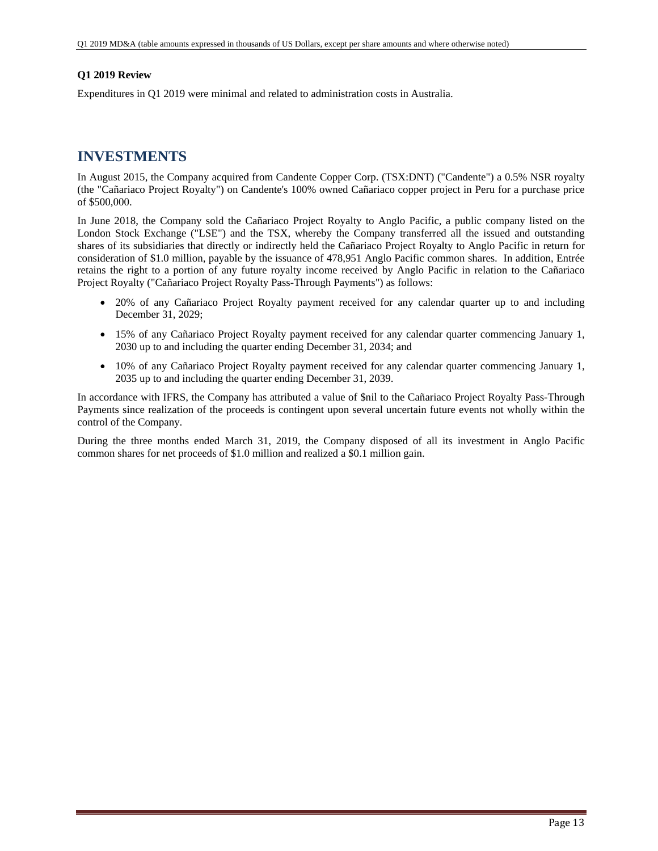### **Q1 2019 Review**

Expenditures in Q1 2019 were minimal and related to administration costs in Australia.

## **INVESTMENTS**

In August 2015, the Company acquired from Candente Copper Corp. (TSX:DNT) ("Candente") a 0.5% NSR royalty (the "Cañariaco Project Royalty") on Candente's 100% owned Cañariaco copper project in Peru for a purchase price of \$500,000.

In June 2018, the Company sold the Cañariaco Project Royalty to Anglo Pacific, a public company listed on the London Stock Exchange ("LSE") and the TSX, whereby the Company transferred all the issued and outstanding shares of its subsidiaries that directly or indirectly held the Cañariaco Project Royalty to Anglo Pacific in return for consideration of \$1.0 million, payable by the issuance of 478,951 Anglo Pacific common shares. In addition, Entrée retains the right to a portion of any future royalty income received by Anglo Pacific in relation to the Cañariaco Project Royalty ("Cañariaco Project Royalty Pass-Through Payments") as follows:

- 20% of any Cañariaco Project Royalty payment received for any calendar quarter up to and including December 31, 2029;
- 15% of any Cañariaco Project Royalty payment received for any calendar quarter commencing January 1, 2030 up to and including the quarter ending December 31, 2034; and
- 10% of any Cañariaco Project Royalty payment received for any calendar quarter commencing January 1, 2035 up to and including the quarter ending December 31, 2039.

In accordance with IFRS, the Company has attributed a value of \$nil to the Cañariaco Project Royalty Pass-Through Payments since realization of the proceeds is contingent upon several uncertain future events not wholly within the control of the Company.

During the three months ended March 31, 2019, the Company disposed of all its investment in Anglo Pacific common shares for net proceeds of \$1.0 million and realized a \$0.1 million gain.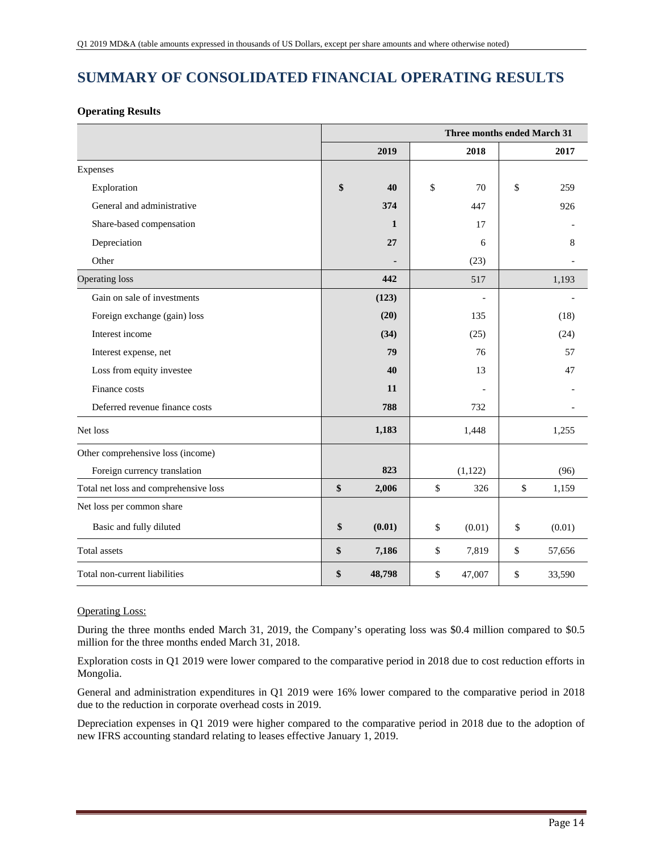# **SUMMARY OF CONSOLIDATED FINANCIAL OPERATING RESULTS**

## **Operating Results**

|                                       | Three months ended March 31 |              |    |                |    |        |  |  |  |
|---------------------------------------|-----------------------------|--------------|----|----------------|----|--------|--|--|--|
|                                       |                             | 2019         |    | 2018           |    | 2017   |  |  |  |
| Expenses                              |                             |              |    |                |    |        |  |  |  |
| Exploration                           | \$                          | 40           | \$ | 70             | \$ | 259    |  |  |  |
| General and administrative            |                             | 374          |    | 447            |    | 926    |  |  |  |
| Share-based compensation              |                             | $\mathbf{1}$ |    | 17             |    |        |  |  |  |
| Depreciation                          |                             | 27           |    | 6              |    | 8      |  |  |  |
| Other                                 |                             |              |    | (23)           |    |        |  |  |  |
| <b>Operating loss</b>                 |                             | 442          |    | 517            |    | 1,193  |  |  |  |
| Gain on sale of investments           |                             | (123)        |    | $\overline{a}$ |    |        |  |  |  |
| Foreign exchange (gain) loss          |                             | (20)         |    | 135            |    | (18)   |  |  |  |
| Interest income                       |                             | (34)         |    | (25)           |    | (24)   |  |  |  |
| Interest expense, net                 |                             | 79           |    | 76             |    | 57     |  |  |  |
| Loss from equity investee             |                             | 40           |    | 13             |    | 47     |  |  |  |
| Finance costs                         |                             | 11           |    |                |    |        |  |  |  |
| Deferred revenue finance costs        |                             | 788          |    | 732            |    |        |  |  |  |
| Net loss                              |                             | 1,183        |    | 1,448          |    | 1,255  |  |  |  |
| Other comprehensive loss (income)     |                             |              |    |                |    |        |  |  |  |
| Foreign currency translation          |                             | 823          |    | (1,122)        |    | (96)   |  |  |  |
| Total net loss and comprehensive loss | \$                          | 2,006        | \$ | 326            | \$ | 1,159  |  |  |  |
| Net loss per common share             |                             |              |    |                |    |        |  |  |  |
| Basic and fully diluted               | \$                          | (0.01)       | \$ | (0.01)         | \$ | (0.01) |  |  |  |
| Total assets                          | \$                          | 7,186        | \$ | 7,819          | \$ | 57,656 |  |  |  |
| Total non-current liabilities         | \$                          | 48,798       | \$ | 47,007         | \$ | 33,590 |  |  |  |

## Operating Loss:

During the three months ended March 31, 2019, the Company's operating loss was \$0.4 million compared to \$0.5 million for the three months ended March 31, 2018.

Exploration costs in Q1 2019 were lower compared to the comparative period in 2018 due to cost reduction efforts in Mongolia.

General and administration expenditures in Q1 2019 were 16% lower compared to the comparative period in 2018 due to the reduction in corporate overhead costs in 2019.

Depreciation expenses in Q1 2019 were higher compared to the comparative period in 2018 due to the adoption of new IFRS accounting standard relating to leases effective January 1, 2019.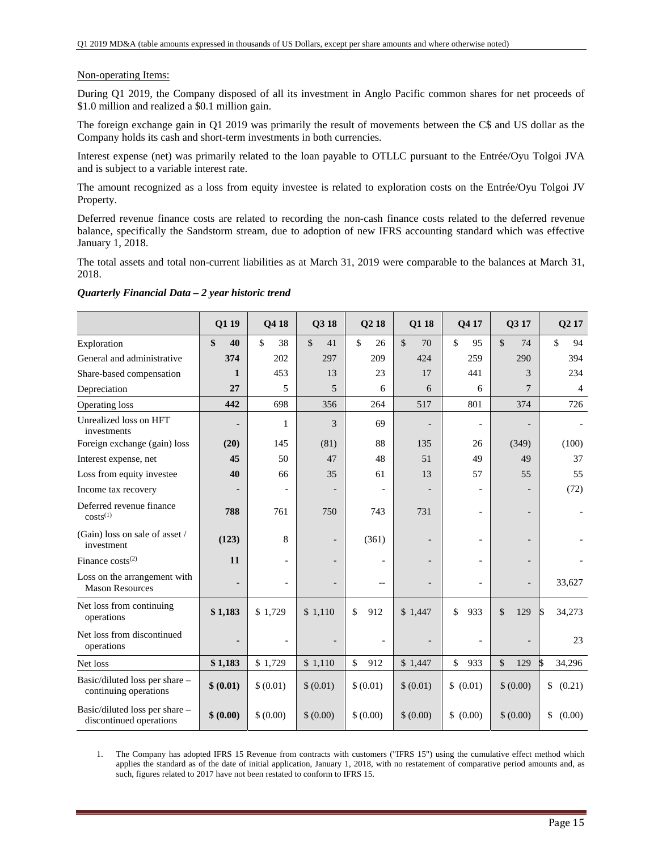#### Non-operating Items:

During Q1 2019, the Company disposed of all its investment in Anglo Pacific common shares for net proceeds of \$1.0 million and realized a \$0.1 million gain.

The foreign exchange gain in Q1 2019 was primarily the result of movements between the C\$ and US dollar as the Company holds its cash and short-term investments in both currencies.

Interest expense (net) was primarily related to the loan payable to OTLLC pursuant to the Entrée/Oyu Tolgoi JVA and is subject to a variable interest rate.

The amount recognized as a loss from equity investee is related to exploration costs on the Entrée/Oyu Tolgoi JV Property.

Deferred revenue finance costs are related to recording the non-cash finance costs related to the deferred revenue balance, specifically the Sandstorm stream, due to adoption of new IFRS accounting standard which was effective January 1, 2018.

The total assets and total non-current liabilities as at March 31, 2019 were comparable to the balances at March 31, 2018.

|                                                           | Q1 19        | Q4 18     | Q3 18                    | Q2 18     | Q1 18              | Q417                     | Q3 17                    | Q <sub>2</sub> 17 |
|-----------------------------------------------------------|--------------|-----------|--------------------------|-----------|--------------------|--------------------------|--------------------------|-------------------|
| Exploration                                               | \$<br>40     | \$<br>38  | $\mathcal{S}$<br>41      | \$<br>26  | $\mathbb{S}$<br>70 | \$<br>95                 | $\mathbb{S}$<br>74       | \$<br>94          |
| General and administrative                                | 374          | 202       | 297                      | 209       | 424                | 259                      | 290                      | 394               |
| Share-based compensation                                  | $\mathbf{1}$ | 453       | 13                       | 23        | 17                 | 441                      | 3                        | 234               |
| Depreciation                                              | 27           | 5         | 5                        | 6         | 6                  | 6                        | 7                        | $\overline{4}$    |
| Operating loss                                            | 442          | 698       | 356                      | 264       | 517                | 801                      | 374                      | 726               |
| Unrealized loss on HFT<br>investments                     |              | 1         | $\overline{\mathcal{E}}$ | 69        |                    | $\overline{\phantom{a}}$ | $\overline{\phantom{0}}$ |                   |
| Foreign exchange (gain) loss                              | (20)         | 145       | (81)                     | 88        | 135                | 26                       | (349)                    | (100)             |
| Interest expense, net                                     | 45           | 50        | 47                       | 48        | 51                 | 49                       | 49                       | 37                |
| Loss from equity investee                                 | 40           | 66        | 35                       | 61        | 13                 | 57                       | 55                       | 55                |
| Income tax recovery                                       |              |           |                          |           |                    |                          |                          | (72)              |
| Deferred revenue finance<br>$costs^{(1)}$                 | 788          | 761       | 750                      | 743       | 731                | $\overline{a}$           |                          |                   |
| (Gain) loss on sale of asset /<br>investment              | (123)        | 8         |                          | (361)     |                    |                          | $\overline{\phantom{0}}$ |                   |
| Finance $costs^{(2)}$                                     | 11           |           |                          |           |                    |                          | $\overline{\phantom{0}}$ |                   |
| Loss on the arrangement with<br><b>Mason Resources</b>    |              |           |                          | --        |                    |                          | $\overline{\phantom{0}}$ | 33,627            |
| Net loss from continuing<br>operations                    | \$1,183      | \$1,729   | \$1,110                  | \$<br>912 | \$1,447            | \$<br>933                | $\mathcal{S}$<br>129     | 34,273<br>l\$     |
| Net loss from discontinued<br>operations                  |              |           |                          |           |                    |                          |                          | 23                |
| Net loss                                                  | \$1,183      | \$1,729   | \$1,110                  | \$<br>912 | \$1,447            | \$<br>933                | \$<br>129                | l\$<br>34,296     |
| Basic/diluted loss per share -<br>continuing operations   | \$ (0.01)    | \$ (0.01) | \$ (0.01)                | \$ (0.01) | \$ (0.01)          | \$ (0.01)                | \$ (0.00)                | \$<br>(0.21)      |
| Basic/diluted loss per share -<br>discontinued operations | \$ (0.00)    | \$ (0.00) | \$ (0.00)                | \$ (0.00) | \$ (0.00)          | \$ (0.00)                | \$ (0.00)                | \$<br>(0.00)      |

#### *Quarterly Financial Data – 2 year historic trend*

1. The Company has adopted IFRS 15 Revenue from contracts with customers ("IFRS 15") using the cumulative effect method which applies the standard as of the date of initial application, January 1, 2018, with no restatement of comparative period amounts and, as such, figures related to 2017 have not been restated to conform to IFRS 15.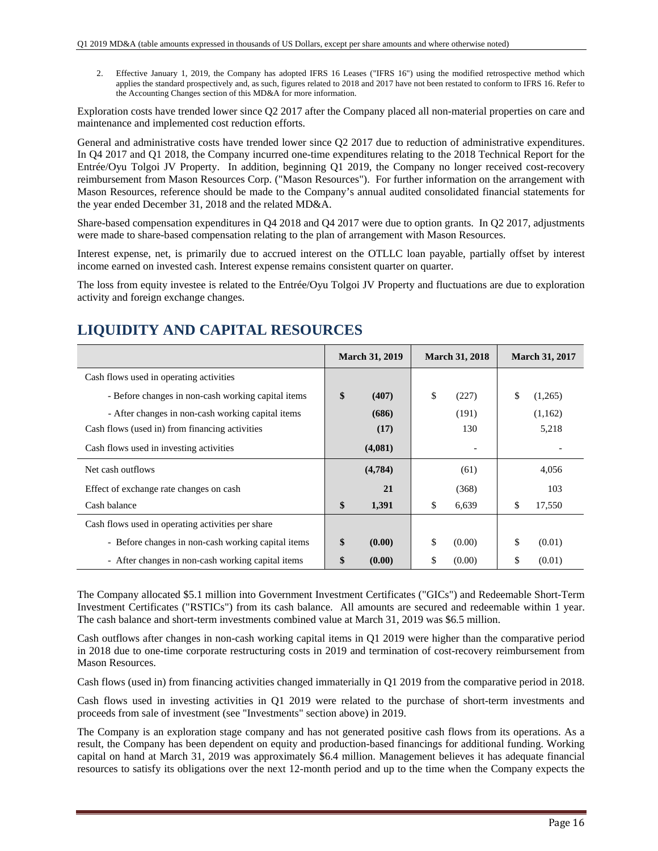2. Effective January 1, 2019, the Company has adopted IFRS 16 Leases ("IFRS 16") using the modified retrospective method which applies the standard prospectively and, as such, figures related to 2018 and 2017 have not been restated to conform to IFRS 16. Refer to the Accounting Changes section of this MD&A for more information.

Exploration costs have trended lower since Q2 2017 after the Company placed all non-material properties on care and maintenance and implemented cost reduction efforts.

General and administrative costs have trended lower since Q2 2017 due to reduction of administrative expenditures. In Q4 2017 and Q1 2018, the Company incurred one-time expenditures relating to the 2018 Technical Report for the Entrée/Oyu Tolgoi JV Property. In addition, beginning Q1 2019, the Company no longer received cost-recovery reimbursement from Mason Resources Corp. ("Mason Resources"). For further information on the arrangement with Mason Resources, reference should be made to the Company's annual audited consolidated financial statements for the year ended December 31, 2018 and the related MD&A.

Share-based compensation expenditures in Q4 2018 and Q4 2017 were due to option grants. In Q2 2017, adjustments were made to share-based compensation relating to the plan of arrangement with Mason Resources.

Interest expense, net, is primarily due to accrued interest on the OTLLC loan payable, partially offset by interest income earned on invested cash. Interest expense remains consistent quarter on quarter.

The loss from equity investee is related to the Entrée/Oyu Tolgoi JV Property and fluctuations are due to exploration activity and foreign exchange changes.

# **LIQUIDITY AND CAPITAL RESOURCES**

|                                                    | <b>March 31, 2019</b> | <b>March 31, 2018</b> | <b>March 31, 2017</b> |
|----------------------------------------------------|-----------------------|-----------------------|-----------------------|
| Cash flows used in operating activities            |                       |                       |                       |
| - Before changes in non-cash working capital items | \$<br>(407)           | \$<br>(227)           | \$<br>(1,265)         |
| - After changes in non-cash working capital items  | (686)                 | (191)                 | (1,162)               |
| Cash flows (used in) from financing activities     | (17)                  | 130                   | 5,218                 |
| Cash flows used in investing activities            | (4,081)               |                       |                       |
| Net cash outflows                                  | (4,784)               | (61)                  | 4,056                 |
| Effect of exchange rate changes on cash            | 21                    | (368)                 | 103                   |
| Cash balance                                       | \$<br>1,391           | \$<br>6,639           | \$<br>17,550          |
| Cash flows used in operating activities per share  |                       |                       |                       |
| - Before changes in non-cash working capital items | \$<br>(0.00)          | \$<br>(0.00)          | \$<br>(0.01)          |
| - After changes in non-cash working capital items  | \$<br>(0.00)          | \$<br>(0.00)          | \$<br>(0.01)          |

The Company allocated \$5.1 million into Government Investment Certificates ("GICs") and Redeemable Short-Term Investment Certificates ("RSTICs") from its cash balance. All amounts are secured and redeemable within 1 year. The cash balance and short-term investments combined value at March 31, 2019 was \$6.5 million.

Cash outflows after changes in non-cash working capital items in Q1 2019 were higher than the comparative period in 2018 due to one-time corporate restructuring costs in 2019 and termination of cost-recovery reimbursement from Mason Resources.

Cash flows (used in) from financing activities changed immaterially in Q1 2019 from the comparative period in 2018.

Cash flows used in investing activities in Q1 2019 were related to the purchase of short-term investments and proceeds from sale of investment (see "Investments" section above) in 2019.

The Company is an exploration stage company and has not generated positive cash flows from its operations. As a result, the Company has been dependent on equity and production-based financings for additional funding. Working capital on hand at March 31, 2019 was approximately \$6.4 million. Management believes it has adequate financial resources to satisfy its obligations over the next 12-month period and up to the time when the Company expects the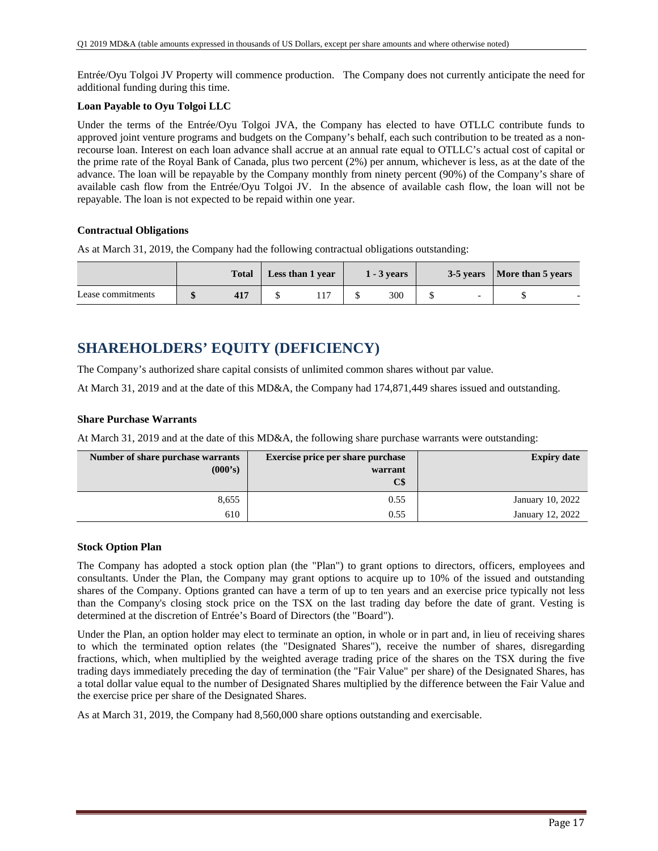Entrée/Oyu Tolgoi JV Property will commence production. The Company does not currently anticipate the need for additional funding during this time.

## **Loan Payable to Oyu Tolgoi LLC**

Under the terms of the Entrée/Oyu Tolgoi JVA, the Company has elected to have OTLLC contribute funds to approved joint venture programs and budgets on the Company's behalf, each such contribution to be treated as a nonrecourse loan. Interest on each loan advance shall accrue at an annual rate equal to OTLLC's actual cost of capital or the prime rate of the Royal Bank of Canada, plus two percent (2%) per annum, whichever is less, as at the date of the advance. The loan will be repayable by the Company monthly from ninety percent (90%) of the Company's share of available cash flow from the Entrée/Oyu Tolgoi JV. In the absence of available cash flow, the loan will not be repayable. The loan is not expected to be repaid within one year.

### **Contractual Obligations**

As at March 31, 2019, the Company had the following contractual obligations outstanding:

|                   | <b>Total</b> | Less than 1 year | $1 - 3$ years |   | 3-5 years   More than 5 years |  |
|-------------------|--------------|------------------|---------------|---|-------------------------------|--|
| Lease commitments |              |                  | 300           | - |                               |  |

# **SHAREHOLDERS' EQUITY (DEFICIENCY)**

The Company's authorized share capital consists of unlimited common shares without par value.

At March 31, 2019 and at the date of this MD&A, the Company had 174,871,449 shares issued and outstanding.

### **Share Purchase Warrants**

At March 31, 2019 and at the date of this MD&A, the following share purchase warrants were outstanding:

| Number of share purchase warrants | <b>Exercise price per share purchase</b> | <b>Expiry date</b> |
|-----------------------------------|------------------------------------------|--------------------|
| (000's)                           | warrant                                  |                    |
|                                   | C\$                                      |                    |
| 8,655                             | 0.55                                     | January 10, 2022   |
| 610                               | 0.55                                     | January 12, 2022   |

#### **Stock Option Plan**

The Company has adopted a stock option plan (the "Plan") to grant options to directors, officers, employees and consultants. Under the Plan, the Company may grant options to acquire up to 10% of the issued and outstanding shares of the Company. Options granted can have a term of up to ten years and an exercise price typically not less than the Company's closing stock price on the TSX on the last trading day before the date of grant. Vesting is determined at the discretion of Entrée's Board of Directors (the "Board").

Under the Plan, an option holder may elect to terminate an option, in whole or in part and, in lieu of receiving shares to which the terminated option relates (the "Designated Shares"), receive the number of shares, disregarding fractions, which, when multiplied by the weighted average trading price of the shares on the TSX during the five trading days immediately preceding the day of termination (the "Fair Value" per share) of the Designated Shares, has a total dollar value equal to the number of Designated Shares multiplied by the difference between the Fair Value and the exercise price per share of the Designated Shares.

As at March 31, 2019, the Company had 8,560,000 share options outstanding and exercisable.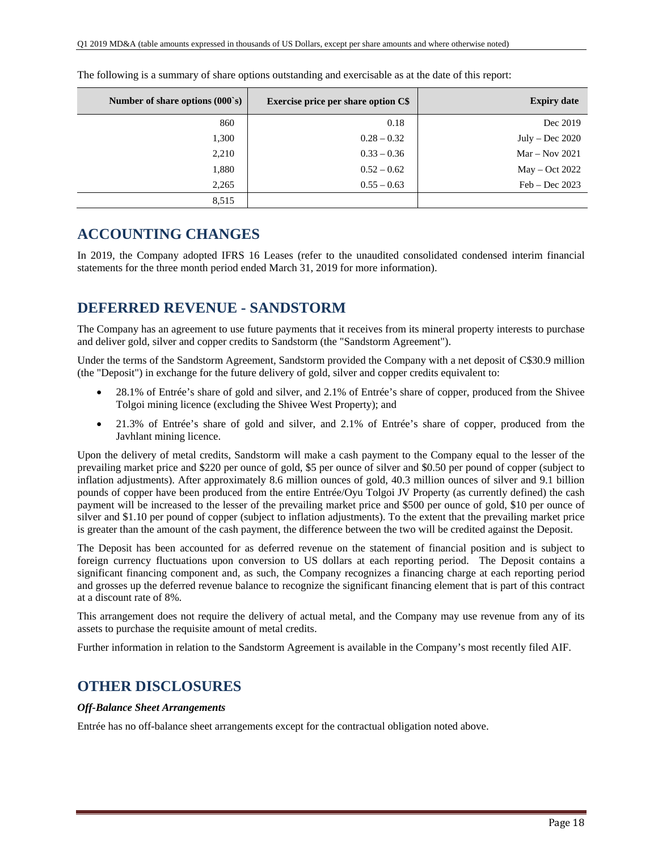| Number of share options $(000's)$ | <b>Exercise price per share option C\$</b> | <b>Expiry date</b> |
|-----------------------------------|--------------------------------------------|--------------------|
| 860                               | 0.18                                       | Dec 2019           |
| 1,300                             | $0.28 - 0.32$                              | July – Dec $2020$  |
| 2,210                             | $0.33 - 0.36$                              | $Mar - Nov 2021$   |
| 1,880                             | $0.52 - 0.62$                              | $May - Oct 2022$   |
| 2,265                             | $0.55 - 0.63$                              | $Feb - Dec 2023$   |
| 8,515                             |                                            |                    |

The following is a summary of share options outstanding and exercisable as at the date of this report:

## **ACCOUNTING CHANGES**

In 2019, the Company adopted IFRS 16 Leases (refer to the unaudited consolidated condensed interim financial statements for the three month period ended March 31, 2019 for more information).

## **DEFERRED REVENUE - SANDSTORM**

The Company has an agreement to use future payments that it receives from its mineral property interests to purchase and deliver gold, silver and copper credits to Sandstorm (the "Sandstorm Agreement").

Under the terms of the Sandstorm Agreement, Sandstorm provided the Company with a net deposit of C\$30.9 million (the "Deposit") in exchange for the future delivery of gold, silver and copper credits equivalent to:

- 28.1% of Entrée's share of gold and silver, and 2.1% of Entrée's share of copper, produced from the Shivee Tolgoi mining licence (excluding the Shivee West Property); and
- 21.3% of Entrée's share of gold and silver, and 2.1% of Entrée's share of copper, produced from the Javhlant mining licence.

Upon the delivery of metal credits, Sandstorm will make a cash payment to the Company equal to the lesser of the prevailing market price and \$220 per ounce of gold, \$5 per ounce of silver and \$0.50 per pound of copper (subject to inflation adjustments). After approximately 8.6 million ounces of gold, 40.3 million ounces of silver and 9.1 billion pounds of copper have been produced from the entire Entrée/Oyu Tolgoi JV Property (as currently defined) the cash payment will be increased to the lesser of the prevailing market price and \$500 per ounce of gold, \$10 per ounce of silver and \$1.10 per pound of copper (subject to inflation adjustments). To the extent that the prevailing market price is greater than the amount of the cash payment, the difference between the two will be credited against the Deposit.

The Deposit has been accounted for as deferred revenue on the statement of financial position and is subject to foreign currency fluctuations upon conversion to US dollars at each reporting period. The Deposit contains a significant financing component and, as such, the Company recognizes a financing charge at each reporting period and grosses up the deferred revenue balance to recognize the significant financing element that is part of this contract at a discount rate of 8%.

This arrangement does not require the delivery of actual metal, and the Company may use revenue from any of its assets to purchase the requisite amount of metal credits.

Further information in relation to the Sandstorm Agreement is available in the Company's most recently filed AIF.

## **OTHER DISCLOSURES**

## *Off-Balance Sheet Arrangements*

Entrée has no off-balance sheet arrangements except for the contractual obligation noted above.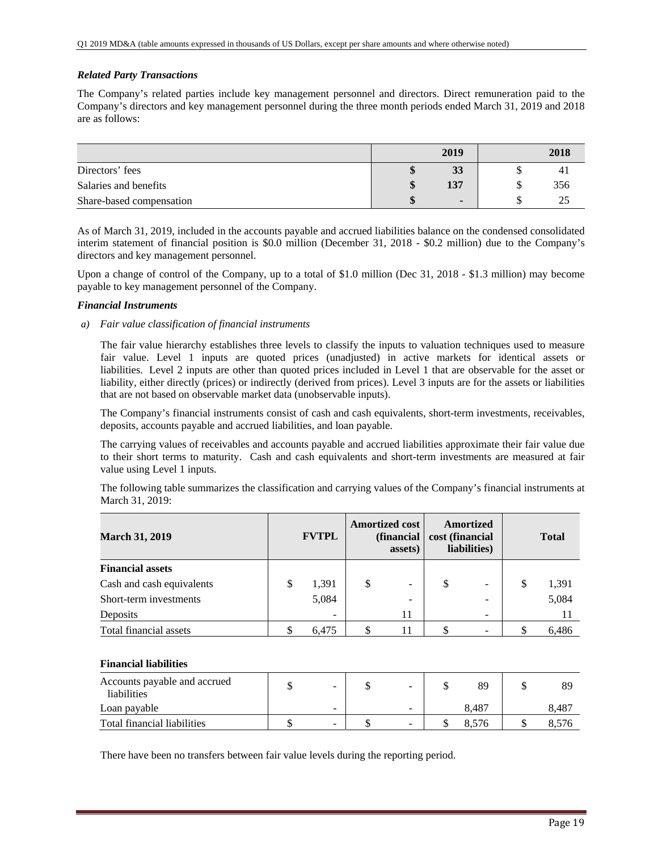## *Related Party Transactions*

The Company's related parties include key management personnel and directors. Direct remuneration paid to the Company's directors and key management personnel during the three month periods ended March 31, 2019 and 2018 are as follows:

|                          | 2019           | 2018 |
|--------------------------|----------------|------|
| Directors' fees          | 33             | 41   |
| Salaries and benefits    | 137            | 356  |
| Share-based compensation | $\blacksquare$ |      |

As of March 31, 2019, included in the accounts payable and accrued liabilities balance on the condensed consolidated interim statement of financial position is \$0.0 million (December 31, 2018 - \$0.2 million) due to the Company's directors and key management personnel.

Upon a change of control of the Company, up to a total of \$1.0 million (Dec 31, 2018 - \$1.3 million) may become payable to key management personnel of the Company.

### *Financial Instruments*

*a) Fair value classification of financial instruments* 

The fair value hierarchy establishes three levels to classify the inputs to valuation techniques used to measure fair value. Level 1 inputs are quoted prices (unadjusted) in active markets for identical assets or liabilities. Level 2 inputs are other than quoted prices included in Level 1 that are observable for the asset or liability, either directly (prices) or indirectly (derived from prices). Level 3 inputs are for the assets or liabilities that are not based on observable market data (unobservable inputs).

The Company's financial instruments consist of cash and cash equivalents, short-term investments, receivables, deposits, accounts payable and accrued liabilities, and loan payable.

The carrying values of receivables and accounts payable and accrued liabilities approximate their fair value due to their short terms to maturity. Cash and cash equivalents and short-term investments are measured at fair value using Level 1 inputs.

The following table summarizes the classification and carrying values of the Company's financial instruments at March 31, 2019:

| <b>March 31, 2019</b>     | <b>FVTPL</b>             | <b>Amortized cost</b><br>(financial<br>assets) | cost (financial | <b>Amortized</b><br>liabilities) |   | <b>Total</b> |
|---------------------------|--------------------------|------------------------------------------------|-----------------|----------------------------------|---|--------------|
| <b>Financial assets</b>   |                          |                                                |                 |                                  |   |              |
| Cash and cash equivalents | \$<br>1,391              | \$<br>$\equiv$                                 | S               | $\overline{\phantom{m}}$         | S | 1,391        |
| Short-term investments    | 5,084                    | -                                              |                 | ۰                                |   | 5,084        |
| Deposits                  | $\overline{\phantom{a}}$ | 11                                             |                 | $\overline{\phantom{0}}$         |   | 11           |
| Total financial assets    | 6,475                    | 11                                             |                 |                                  |   | 6,486        |

#### **Financial liabilities**

| Accounts payable and accrued<br>liabilities | -                        | -      | 89    | 89    |
|---------------------------------------------|--------------------------|--------|-------|-------|
| Loan payable                                | $\overline{\phantom{0}}$ | $\sim$ | 8.487 | 8.487 |
| Total financial liabilities                 | $\overline{\phantom{a}}$ | $\sim$ |       |       |

There have been no transfers between fair value levels during the reporting period.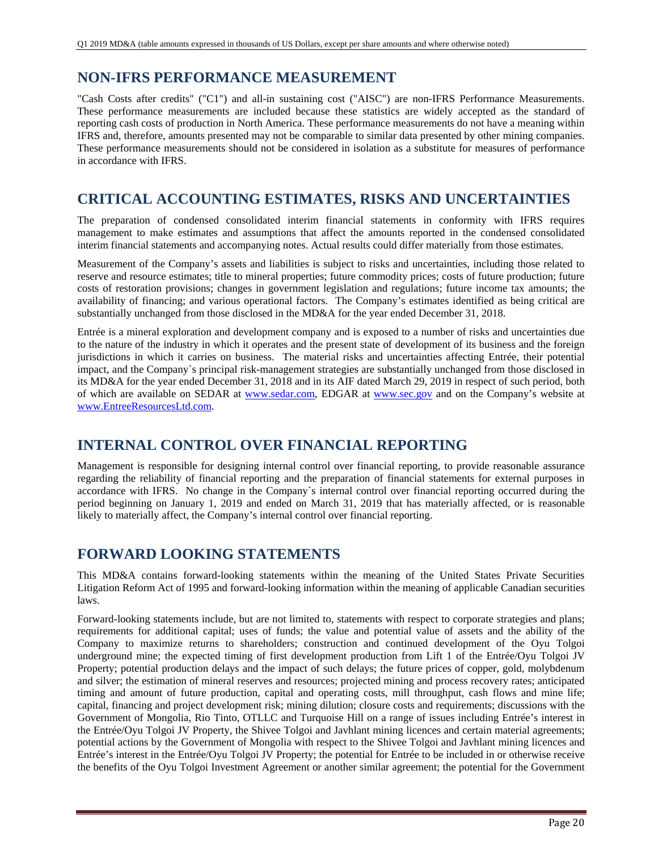## **NON-IFRS PERFORMANCE MEASUREMENT**

"Cash Costs after credits" ("C1") and all-in sustaining cost ("AISC") are non-IFRS Performance Measurements. These performance measurements are included because these statistics are widely accepted as the standard of reporting cash costs of production in North America. These performance measurements do not have a meaning within IFRS and, therefore, amounts presented may not be comparable to similar data presented by other mining companies. These performance measurements should not be considered in isolation as a substitute for measures of performance in accordance with IFRS.

# **CRITICAL ACCOUNTING ESTIMATES, RISKS AND UNCERTAINTIES**

The preparation of condensed consolidated interim financial statements in conformity with IFRS requires management to make estimates and assumptions that affect the amounts reported in the condensed consolidated interim financial statements and accompanying notes. Actual results could differ materially from those estimates.

Measurement of the Company's assets and liabilities is subject to risks and uncertainties, including those related to reserve and resource estimates; title to mineral properties; future commodity prices; costs of future production; future costs of restoration provisions; changes in government legislation and regulations; future income tax amounts; the availability of financing; and various operational factors. The Company's estimates identified as being critical are substantially unchanged from those disclosed in the MD&A for the year ended December 31, 2018.

Entrée is a mineral exploration and development company and is exposed to a number of risks and uncertainties due to the nature of the industry in which it operates and the present state of development of its business and the foreign jurisdictions in which it carries on business. The material risks and uncertainties affecting Entrée, their potential impact, and the Company`s principal risk-management strategies are substantially unchanged from those disclosed in its MD&A for the year ended December 31, 2018 and in its AIF dated March 29, 2019 in respect of such period, both of which are available on SEDAR at www.sedar.com, EDGAR at www.sec.gov and on the Company's website at www.EntreeResourcesLtd.com.

# **INTERNAL CONTROL OVER FINANCIAL REPORTING**

Management is responsible for designing internal control over financial reporting, to provide reasonable assurance regarding the reliability of financial reporting and the preparation of financial statements for external purposes in accordance with IFRS. No change in the Company`s internal control over financial reporting occurred during the period beginning on January 1, 2019 and ended on March 31, 2019 that has materially affected, or is reasonable likely to materially affect, the Company's internal control over financial reporting.

# **FORWARD LOOKING STATEMENTS**

This MD&A contains forward-looking statements within the meaning of the United States Private Securities Litigation Reform Act of 1995 and forward-looking information within the meaning of applicable Canadian securities laws.

Forward-looking statements include, but are not limited to, statements with respect to corporate strategies and plans; requirements for additional capital; uses of funds; the value and potential value of assets and the ability of the Company to maximize returns to shareholders; construction and continued development of the Oyu Tolgoi underground mine; the expected timing of first development production from Lift 1 of the Entrée/Oyu Tolgoi JV Property; potential production delays and the impact of such delays; the future prices of copper, gold, molybdenum and silver; the estimation of mineral reserves and resources; projected mining and process recovery rates; anticipated timing and amount of future production, capital and operating costs, mill throughput, cash flows and mine life; capital, financing and project development risk; mining dilution; closure costs and requirements; discussions with the Government of Mongolia, Rio Tinto, OTLLC and Turquoise Hill on a range of issues including Entrée's interest in the Entrée/Oyu Tolgoi JV Property, the Shivee Tolgoi and Javhlant mining licences and certain material agreements; potential actions by the Government of Mongolia with respect to the Shivee Tolgoi and Javhlant mining licences and Entrée's interest in the Entrée/Oyu Tolgoi JV Property; the potential for Entrée to be included in or otherwise receive the benefits of the Oyu Tolgoi Investment Agreement or another similar agreement; the potential for the Government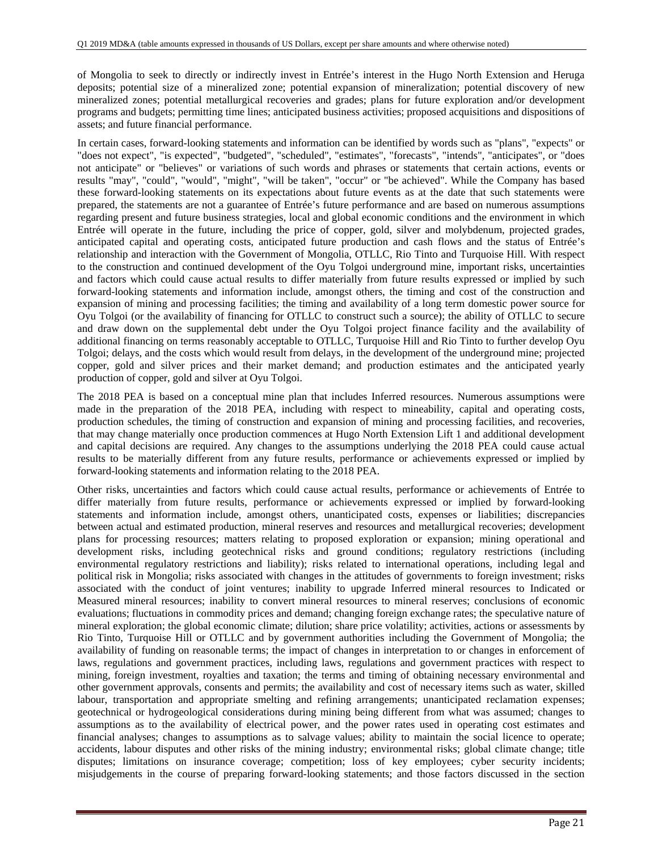of Mongolia to seek to directly or indirectly invest in Entrée's interest in the Hugo North Extension and Heruga deposits; potential size of a mineralized zone; potential expansion of mineralization; potential discovery of new mineralized zones; potential metallurgical recoveries and grades; plans for future exploration and/or development programs and budgets; permitting time lines; anticipated business activities; proposed acquisitions and dispositions of assets; and future financial performance.

In certain cases, forward-looking statements and information can be identified by words such as "plans", "expects" or "does not expect", "is expected", "budgeted", "scheduled", "estimates", "forecasts", "intends", "anticipates", or "does not anticipate" or "believes" or variations of such words and phrases or statements that certain actions, events or results "may", "could", "would", "might", "will be taken", "occur" or "be achieved". While the Company has based these forward-looking statements on its expectations about future events as at the date that such statements were prepared, the statements are not a guarantee of Entrée's future performance and are based on numerous assumptions regarding present and future business strategies, local and global economic conditions and the environment in which Entrée will operate in the future, including the price of copper, gold, silver and molybdenum, projected grades, anticipated capital and operating costs, anticipated future production and cash flows and the status of Entrée's relationship and interaction with the Government of Mongolia, OTLLC, Rio Tinto and Turquoise Hill. With respect to the construction and continued development of the Oyu Tolgoi underground mine, important risks, uncertainties and factors which could cause actual results to differ materially from future results expressed or implied by such forward-looking statements and information include, amongst others, the timing and cost of the construction and expansion of mining and processing facilities; the timing and availability of a long term domestic power source for Oyu Tolgoi (or the availability of financing for OTLLC to construct such a source); the ability of OTLLC to secure and draw down on the supplemental debt under the Oyu Tolgoi project finance facility and the availability of additional financing on terms reasonably acceptable to OTLLC, Turquoise Hill and Rio Tinto to further develop Oyu Tolgoi; delays, and the costs which would result from delays, in the development of the underground mine; projected copper, gold and silver prices and their market demand; and production estimates and the anticipated yearly production of copper, gold and silver at Oyu Tolgoi.

The 2018 PEA is based on a conceptual mine plan that includes Inferred resources. Numerous assumptions were made in the preparation of the 2018 PEA, including with respect to mineability, capital and operating costs, production schedules, the timing of construction and expansion of mining and processing facilities, and recoveries, that may change materially once production commences at Hugo North Extension Lift 1 and additional development and capital decisions are required. Any changes to the assumptions underlying the 2018 PEA could cause actual results to be materially different from any future results, performance or achievements expressed or implied by forward-looking statements and information relating to the 2018 PEA.

Other risks, uncertainties and factors which could cause actual results, performance or achievements of Entrée to differ materially from future results, performance or achievements expressed or implied by forward-looking statements and information include, amongst others, unanticipated costs, expenses or liabilities; discrepancies between actual and estimated production, mineral reserves and resources and metallurgical recoveries; development plans for processing resources; matters relating to proposed exploration or expansion; mining operational and development risks, including geotechnical risks and ground conditions; regulatory restrictions (including environmental regulatory restrictions and liability); risks related to international operations, including legal and political risk in Mongolia; risks associated with changes in the attitudes of governments to foreign investment; risks associated with the conduct of joint ventures; inability to upgrade Inferred mineral resources to Indicated or Measured mineral resources; inability to convert mineral resources to mineral reserves; conclusions of economic evaluations; fluctuations in commodity prices and demand; changing foreign exchange rates; the speculative nature of mineral exploration; the global economic climate; dilution; share price volatility; activities, actions or assessments by Rio Tinto, Turquoise Hill or OTLLC and by government authorities including the Government of Mongolia; the availability of funding on reasonable terms; the impact of changes in interpretation to or changes in enforcement of laws, regulations and government practices, including laws, regulations and government practices with respect to mining, foreign investment, royalties and taxation; the terms and timing of obtaining necessary environmental and other government approvals, consents and permits; the availability and cost of necessary items such as water, skilled labour, transportation and appropriate smelting and refining arrangements; unanticipated reclamation expenses; geotechnical or hydrogeological considerations during mining being different from what was assumed; changes to assumptions as to the availability of electrical power, and the power rates used in operating cost estimates and financial analyses; changes to assumptions as to salvage values; ability to maintain the social licence to operate; accidents, labour disputes and other risks of the mining industry; environmental risks; global climate change; title disputes; limitations on insurance coverage; competition; loss of key employees; cyber security incidents; misjudgements in the course of preparing forward-looking statements; and those factors discussed in the section